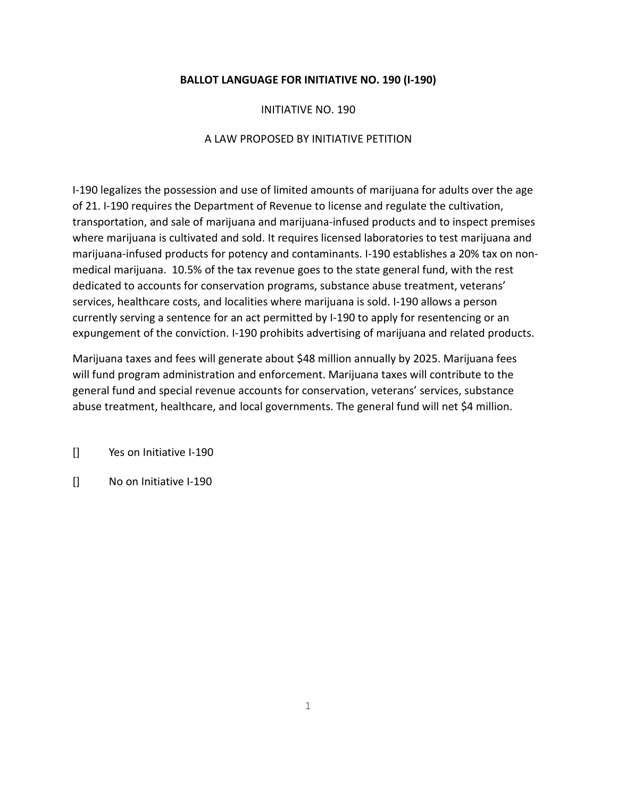# **BALLOT LANGUAGE FOR INITIATIVE NO. 190 (I-190)**

## INITIATIVE NO. 190

## A LAW PROPOSED BY INITIATIVE PETITION

I-190 legalizes the possession and use of limited amounts of marijuana for adults over the age of 21. I-190 requires the Department of Revenue to license and regulate the cultivation, transportation, and sale of marijuana and marijuana-infused products and to inspect premises where marijuana is cultivated and sold. It requires licensed laboratories to test marijuana and marijuana-infused products for potency and contaminants. I-190 establishes a 20% tax on nonmedical marijuana. 10.5% of the tax revenue goes to the state general fund, with the rest dedicated to accounts for conservation programs, substance abuse treatment, veterans' services, healthcare costs, and localities where marijuana is sold. I-190 allows a person currently serving a sentence for an act permitted by I-190 to apply for resentencing or an expungement of the conviction. I-190 prohibits advertising of marijuana and related products.

Marijuana taxes and fees will generate about \$48 million annually by 2025. Marijuana fees will fund program administration and enforcement. Marijuana taxes will contribute to the general fund and special revenue accounts for conservation, veterans' services, substance abuse treatment, healthcare, and local governments. The general fund will net \$4 million.

[] Yes on Initiative I-190

[] No on Initiative I-190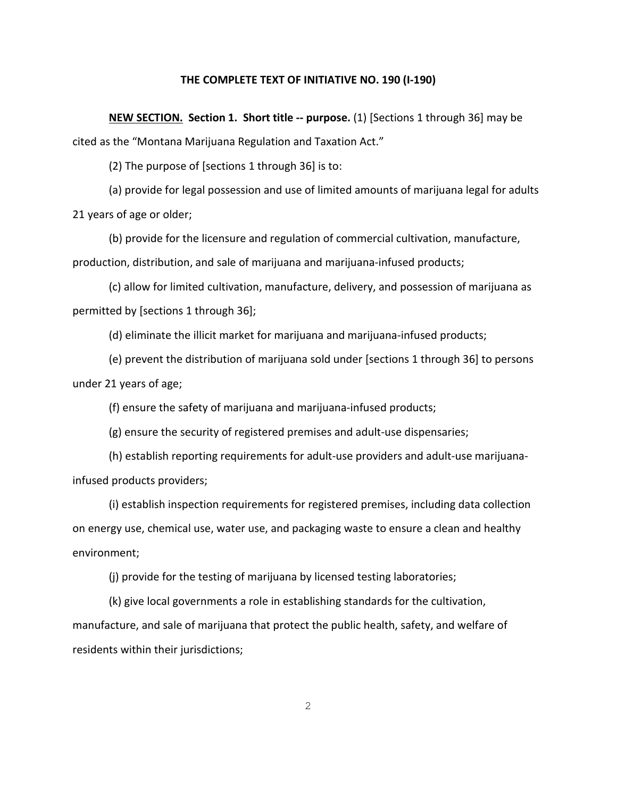#### **THE COMPLETE TEXT OF INITIATIVE NO. 190 (I-190)**

**NEW SECTION. Section 1. Short title -- purpose.** (1) [Sections 1 through 36] may be cited as the "Montana Marijuana Regulation and Taxation Act."

(2) The purpose of [sections 1 through 36] is to:

(a) provide for legal possession and use of limited amounts of marijuana legal for adults 21 years of age or older;

(b) provide for the licensure and regulation of commercial cultivation, manufacture, production, distribution, and sale of marijuana and marijuana-infused products;

(c) allow for limited cultivation, manufacture, delivery, and possession of marijuana as permitted by [sections 1 through 36];

(d) eliminate the illicit market for marijuana and marijuana-infused products;

(e) prevent the distribution of marijuana sold under [sections 1 through 36] to persons under 21 years of age;

(f) ensure the safety of marijuana and marijuana-infused products;

(g) ensure the security of registered premises and adult-use dispensaries;

(h) establish reporting requirements for adult-use providers and adult-use marijuanainfused products providers;

(i) establish inspection requirements for registered premises, including data collection on energy use, chemical use, water use, and packaging waste to ensure a clean and healthy environment;

(j) provide for the testing of marijuana by licensed testing laboratories;

(k) give local governments a role in establishing standards for the cultivation, manufacture, and sale of marijuana that protect the public health, safety, and welfare of residents within their jurisdictions;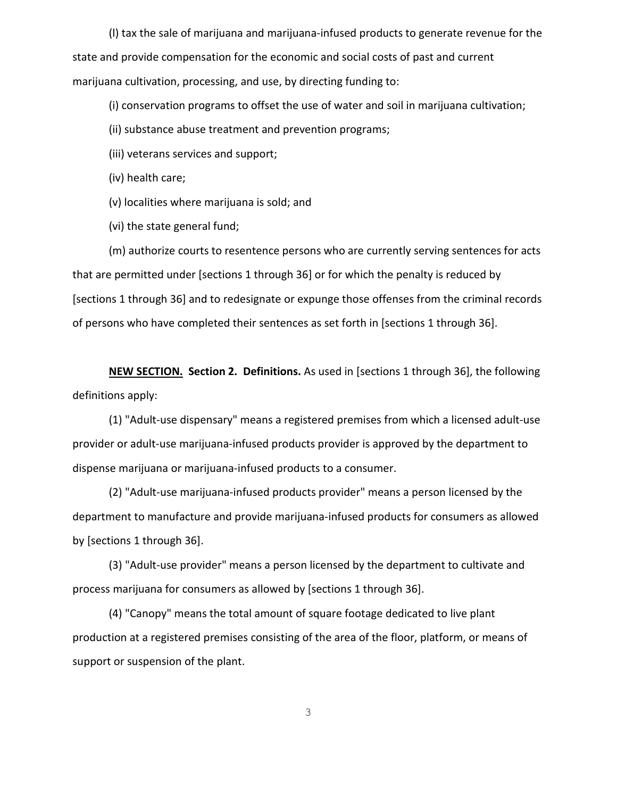(l) tax the sale of marijuana and marijuana-infused products to generate revenue for the state and provide compensation for the economic and social costs of past and current marijuana cultivation, processing, and use, by directing funding to:

(i) conservation programs to offset the use of water and soil in marijuana cultivation;

(ii) substance abuse treatment and prevention programs;

(iii) veterans services and support;

(iv) health care;

(v) localities where marijuana is sold; and

(vi) the state general fund;

(m) authorize courts to resentence persons who are currently serving sentences for acts that are permitted under [sections 1 through 36] or for which the penalty is reduced by [sections 1 through 36] and to redesignate or expunge those offenses from the criminal records of persons who have completed their sentences as set forth in [sections 1 through 36].

**NEW SECTION. Section 2. Definitions.** As used in [sections 1 through 36], the following definitions apply:

(1) "Adult-use dispensary" means a registered premises from which a licensed adult-use provider or adult-use marijuana-infused products provider is approved by the department to dispense marijuana or marijuana-infused products to a consumer.

(2) "Adult-use marijuana-infused products provider" means a person licensed by the department to manufacture and provide marijuana-infused products for consumers as allowed by [sections 1 through 36].

(3) "Adult-use provider" means a person licensed by the department to cultivate and process marijuana for consumers as allowed by [sections 1 through 36].

(4) "Canopy" means the total amount of square footage dedicated to live plant production at a registered premises consisting of the area of the floor, platform, or means of support or suspension of the plant.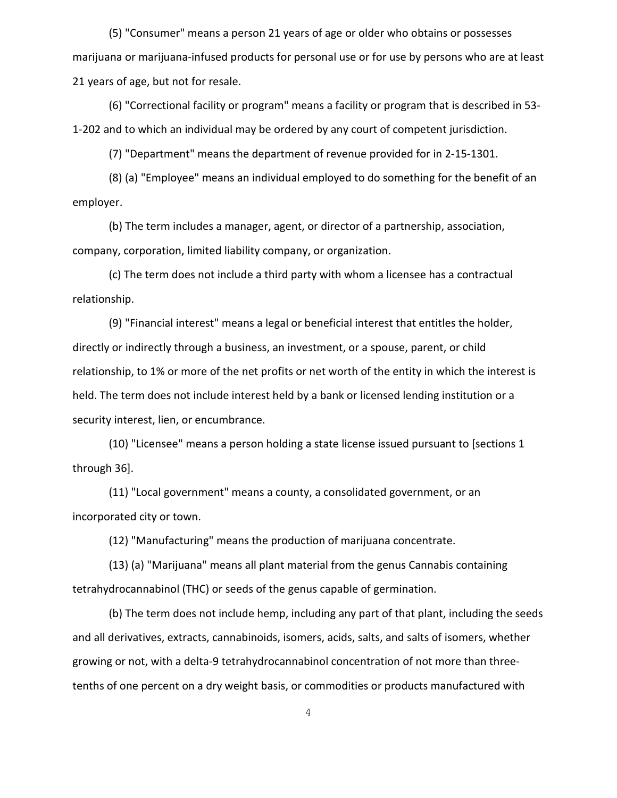(5) "Consumer" means a person 21 years of age or older who obtains or possesses marijuana or marijuana-infused products for personal use or for use by persons who are at least 21 years of age, but not for resale.

(6) "Correctional facility or program" means a facility or program that is described in 53- 1-202 and to which an individual may be ordered by any court of competent jurisdiction.

(7) "Department" means the department of revenue provided for in 2-15-1301.

(8) (a) "Employee" means an individual employed to do something for the benefit of an employer.

(b) The term includes a manager, agent, or director of a partnership, association, company, corporation, limited liability company, or organization.

(c) The term does not include a third party with whom a licensee has a contractual relationship.

(9) "Financial interest" means a legal or beneficial interest that entitles the holder, directly or indirectly through a business, an investment, or a spouse, parent, or child relationship, to 1% or more of the net profits or net worth of the entity in which the interest is held. The term does not include interest held by a bank or licensed lending institution or a security interest, lien, or encumbrance.

(10) "Licensee" means a person holding a state license issued pursuant to [sections 1 through 36].

(11) "Local government" means a county, a consolidated government, or an incorporated city or town.

(12) "Manufacturing" means the production of marijuana concentrate.

(13) (a) "Marijuana" means all plant material from the genus Cannabis containing tetrahydrocannabinol (THC) or seeds of the genus capable of germination.

(b) The term does not include hemp, including any part of that plant, including the seeds and all derivatives, extracts, cannabinoids, isomers, acids, salts, and salts of isomers, whether growing or not, with a delta-9 tetrahydrocannabinol concentration of not more than threetenths of one percent on a dry weight basis, or commodities or products manufactured with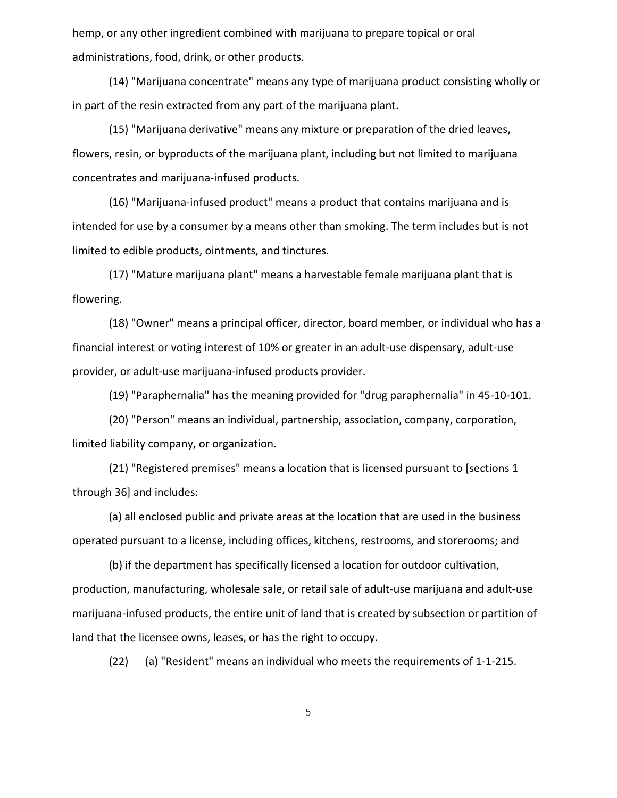hemp, or any other ingredient combined with marijuana to prepare topical or oral administrations, food, drink, or other products.

(14) "Marijuana concentrate" means any type of marijuana product consisting wholly or in part of the resin extracted from any part of the marijuana plant.

(15) "Marijuana derivative" means any mixture or preparation of the dried leaves, flowers, resin, or byproducts of the marijuana plant, including but not limited to marijuana concentrates and marijuana-infused products.

(16) "Marijuana-infused product" means a product that contains marijuana and is intended for use by a consumer by a means other than smoking. The term includes but is not limited to edible products, ointments, and tinctures.

(17) "Mature marijuana plant" means a harvestable female marijuana plant that is flowering.

(18) "Owner" means a principal officer, director, board member, or individual who has a financial interest or voting interest of 10% or greater in an adult-use dispensary, adult-use provider, or adult-use marijuana-infused products provider.

(19) "Paraphernalia" has the meaning provided for "drug paraphernalia" in 45-10-101.

(20) "Person" means an individual, partnership, association, company, corporation, limited liability company, or organization.

(21) "Registered premises" means a location that is licensed pursuant to [sections 1 through 36] and includes:

(a) all enclosed public and private areas at the location that are used in the business operated pursuant to a license, including offices, kitchens, restrooms, and storerooms; and

(b) if the department has specifically licensed a location for outdoor cultivation, production, manufacturing, wholesale sale, or retail sale of adult-use marijuana and adult-use marijuana-infused products, the entire unit of land that is created by subsection or partition of land that the licensee owns, leases, or has the right to occupy.

(22) (a) "Resident" means an individual who meets the requirements of 1-1-215.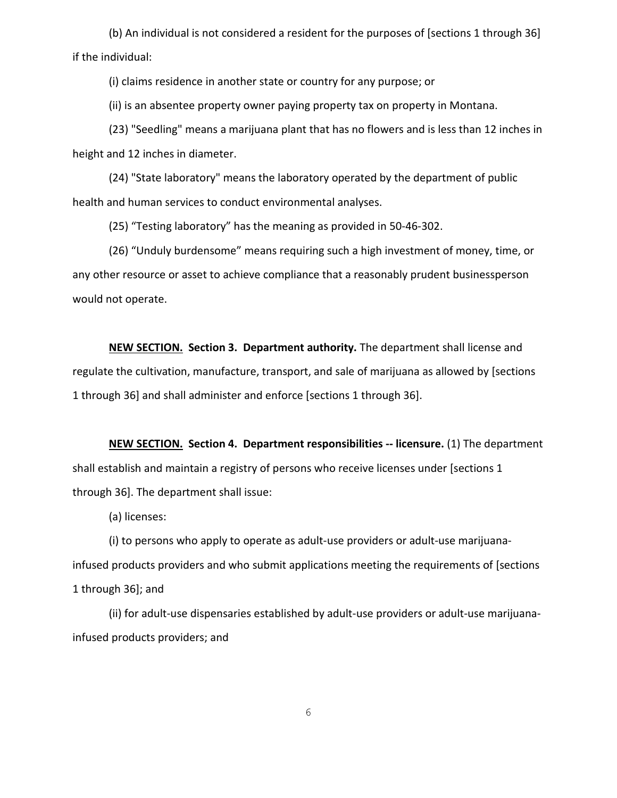(b) An individual is not considered a resident for the purposes of [sections 1 through 36] if the individual:

(i) claims residence in another state or country for any purpose; or

(ii) is an absentee property owner paying property tax on property in Montana.

(23) "Seedling" means a marijuana plant that has no flowers and is less than 12 inches in height and 12 inches in diameter.

(24) "State laboratory" means the laboratory operated by the department of public health and human services to conduct environmental analyses.

(25) "Testing laboratory" has the meaning as provided in 50-46-302.

(26) "Unduly burdensome" means requiring such a high investment of money, time, or any other resource or asset to achieve compliance that a reasonably prudent businessperson would not operate.

**NEW SECTION. Section 3. Department authority.** The department shall license and regulate the cultivation, manufacture, transport, and sale of marijuana as allowed by [sections 1 through 36] and shall administer and enforce [sections 1 through 36].

**NEW SECTION. Section 4. Department responsibilities -- licensure.** (1) The department shall establish and maintain a registry of persons who receive licenses under [sections 1 through 36]. The department shall issue:

(a) licenses:

(i) to persons who apply to operate as adult-use providers or adult-use marijuanainfused products providers and who submit applications meeting the requirements of [sections 1 through 36]; and

(ii) for adult-use dispensaries established by adult-use providers or adult-use marijuanainfused products providers; and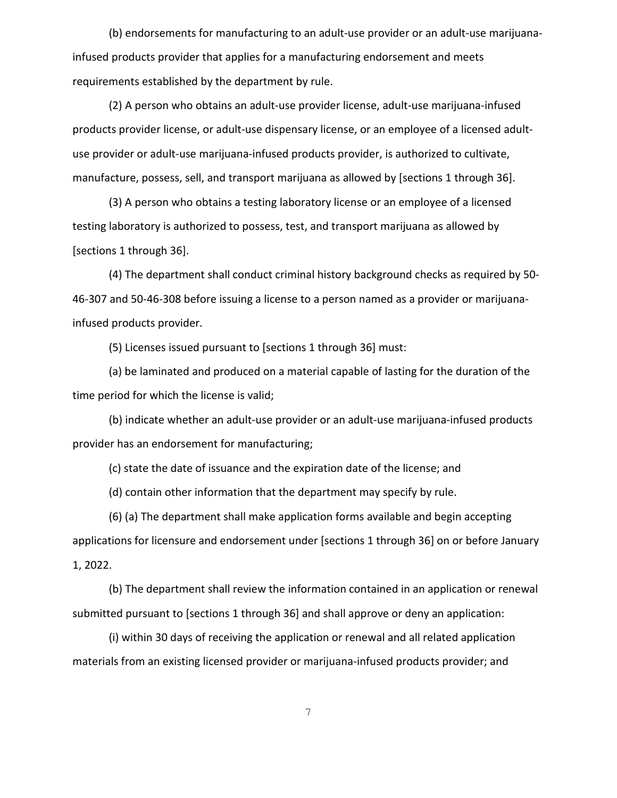(b) endorsements for manufacturing to an adult-use provider or an adult-use marijuanainfused products provider that applies for a manufacturing endorsement and meets requirements established by the department by rule.

(2) A person who obtains an adult-use provider license, adult-use marijuana-infused products provider license, or adult-use dispensary license, or an employee of a licensed adultuse provider or adult-use marijuana-infused products provider, is authorized to cultivate, manufacture, possess, sell, and transport marijuana as allowed by [sections 1 through 36].

(3) A person who obtains a testing laboratory license or an employee of a licensed testing laboratory is authorized to possess, test, and transport marijuana as allowed by [sections 1 through 36].

(4) The department shall conduct criminal history background checks as required by 50- 46-307 and 50-46-308 before issuing a license to a person named as a provider or marijuanainfused products provider.

(5) Licenses issued pursuant to [sections 1 through 36] must:

(a) be laminated and produced on a material capable of lasting for the duration of the time period for which the license is valid;

(b) indicate whether an adult-use provider or an adult-use marijuana-infused products provider has an endorsement for manufacturing;

(c) state the date of issuance and the expiration date of the license; and

(d) contain other information that the department may specify by rule.

(6) (a) The department shall make application forms available and begin accepting applications for licensure and endorsement under [sections 1 through 36] on or before January 1, 2022.

(b) The department shall review the information contained in an application or renewal submitted pursuant to [sections 1 through 36] and shall approve or deny an application:

(i) within 30 days of receiving the application or renewal and all related application materials from an existing licensed provider or marijuana-infused products provider; and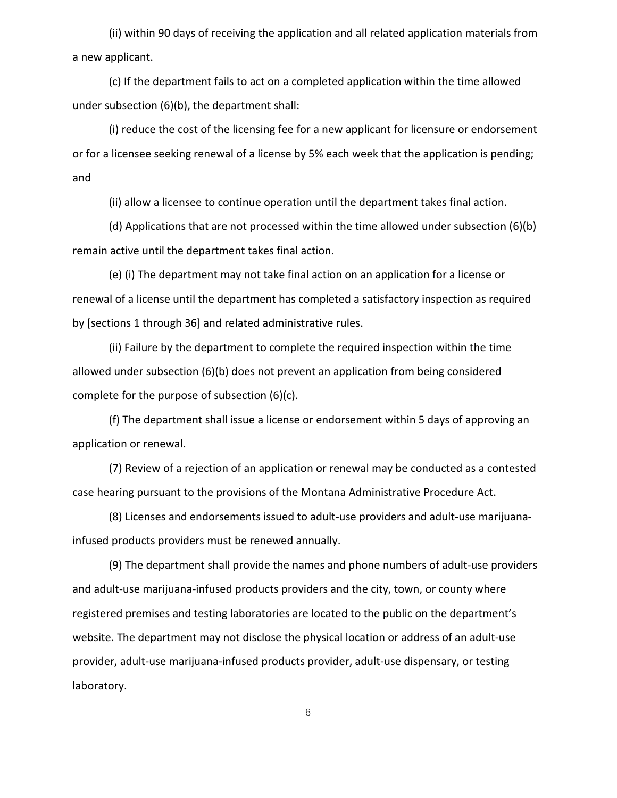(ii) within 90 days of receiving the application and all related application materials from a new applicant.

(c) If the department fails to act on a completed application within the time allowed under subsection (6)(b), the department shall:

(i) reduce the cost of the licensing fee for a new applicant for licensure or endorsement or for a licensee seeking renewal of a license by 5% each week that the application is pending; and

(ii) allow a licensee to continue operation until the department takes final action.

(d) Applications that are not processed within the time allowed under subsection (6)(b) remain active until the department takes final action.

(e) (i) The department may not take final action on an application for a license or renewal of a license until the department has completed a satisfactory inspection as required by [sections 1 through 36] and related administrative rules.

(ii) Failure by the department to complete the required inspection within the time allowed under subsection (6)(b) does not prevent an application from being considered complete for the purpose of subsection (6)(c).

(f) The department shall issue a license or endorsement within 5 days of approving an application or renewal.

(7) Review of a rejection of an application or renewal may be conducted as a contested case hearing pursuant to the provisions of the Montana Administrative Procedure Act.

(8) Licenses and endorsements issued to adult-use providers and adult-use marijuanainfused products providers must be renewed annually.

(9) The department shall provide the names and phone numbers of adult-use providers and adult-use marijuana-infused products providers and the city, town, or county where registered premises and testing laboratories are located to the public on the department's website. The department may not disclose the physical location or address of an adult-use provider, adult-use marijuana-infused products provider, adult-use dispensary, or testing laboratory.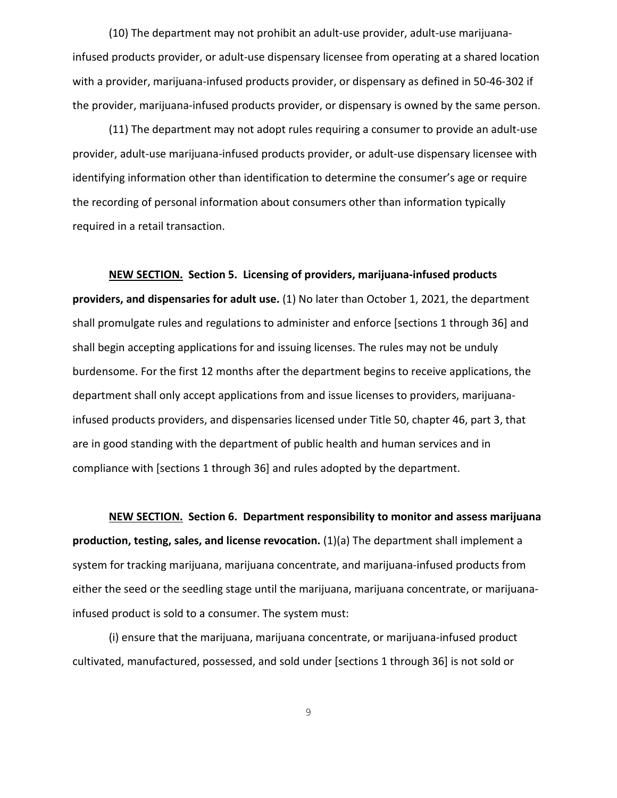(10) The department may not prohibit an adult-use provider, adult-use marijuanainfused products provider, or adult-use dispensary licensee from operating at a shared location with a provider, marijuana-infused products provider, or dispensary as defined in 50-46-302 if the provider, marijuana-infused products provider, or dispensary is owned by the same person.

(11) The department may not adopt rules requiring a consumer to provide an adult-use provider, adult-use marijuana-infused products provider, or adult-use dispensary licensee with identifying information other than identification to determine the consumer's age or require the recording of personal information about consumers other than information typically required in a retail transaction.

**NEW SECTION. Section 5. Licensing of providers, marijuana-infused products providers, and dispensaries for adult use.** (1) No later than October 1, 2021, the department shall promulgate rules and regulations to administer and enforce [sections 1 through 36] and shall begin accepting applications for and issuing licenses. The rules may not be unduly burdensome. For the first 12 months after the department begins to receive applications, the department shall only accept applications from and issue licenses to providers, marijuanainfused products providers, and dispensaries licensed under Title 50, chapter 46, part 3, that are in good standing with the department of public health and human services and in compliance with [sections 1 through 36] and rules adopted by the department.

**NEW SECTION. Section 6. Department responsibility to monitor and assess marijuana production, testing, sales, and license revocation.** (1)(a) The department shall implement a system for tracking marijuana, marijuana concentrate, and marijuana-infused products from either the seed or the seedling stage until the marijuana, marijuana concentrate, or marijuanainfused product is sold to a consumer. The system must:

(i) ensure that the marijuana, marijuana concentrate, or marijuana-infused product cultivated, manufactured, possessed, and sold under [sections 1 through 36] is not sold or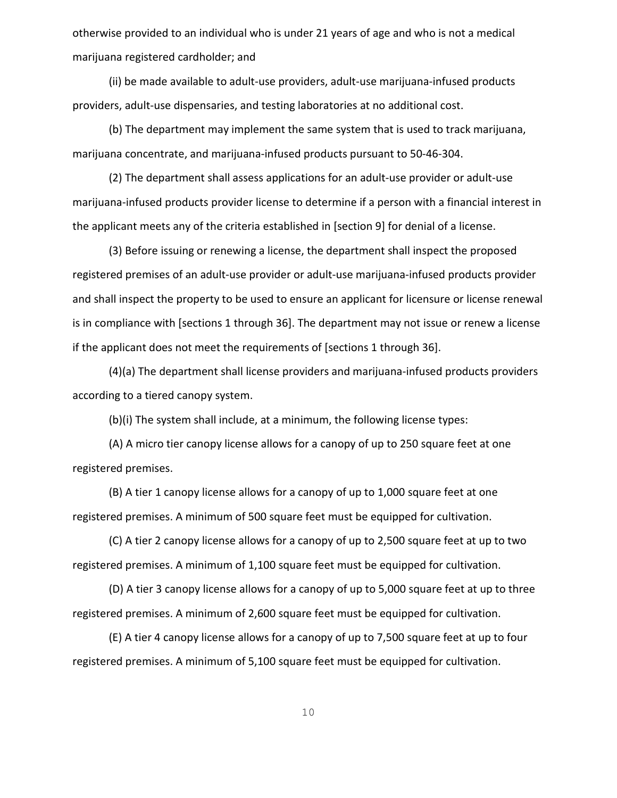otherwise provided to an individual who is under 21 years of age and who is not a medical marijuana registered cardholder; and

(ii) be made available to adult-use providers, adult-use marijuana-infused products providers, adult-use dispensaries, and testing laboratories at no additional cost.

(b) The department may implement the same system that is used to track marijuana, marijuana concentrate, and marijuana-infused products pursuant to 50-46-304.

(2) The department shall assess applications for an adult-use provider or adult-use marijuana-infused products provider license to determine if a person with a financial interest in the applicant meets any of the criteria established in [section 9] for denial of a license.

(3) Before issuing or renewing a license, the department shall inspect the proposed registered premises of an adult-use provider or adult-use marijuana-infused products provider and shall inspect the property to be used to ensure an applicant for licensure or license renewal is in compliance with [sections 1 through 36]. The department may not issue or renew a license if the applicant does not meet the requirements of [sections 1 through 36].

(4)(a) The department shall license providers and marijuana-infused products providers according to a tiered canopy system.

(b)(i) The system shall include, at a minimum, the following license types:

(A) A micro tier canopy license allows for a canopy of up to 250 square feet at one registered premises.

(B) A tier 1 canopy license allows for a canopy of up to 1,000 square feet at one registered premises. A minimum of 500 square feet must be equipped for cultivation.

(C) A tier 2 canopy license allows for a canopy of up to 2,500 square feet at up to two registered premises. A minimum of 1,100 square feet must be equipped for cultivation.

(D) A tier 3 canopy license allows for a canopy of up to 5,000 square feet at up to three registered premises. A minimum of 2,600 square feet must be equipped for cultivation.

(E) A tier 4 canopy license allows for a canopy of up to 7,500 square feet at up to four registered premises. A minimum of 5,100 square feet must be equipped for cultivation.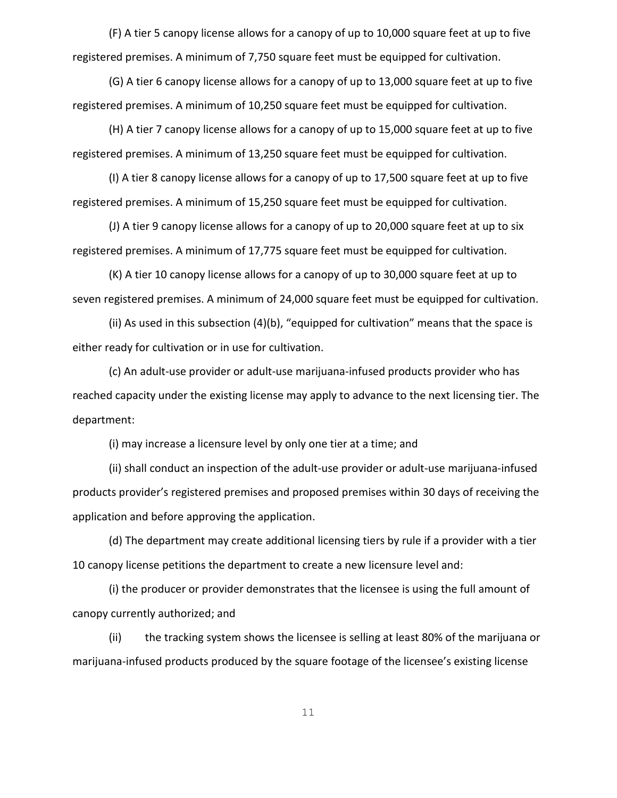(F) A tier 5 canopy license allows for a canopy of up to 10,000 square feet at up to five registered premises. A minimum of 7,750 square feet must be equipped for cultivation.

(G) A tier 6 canopy license allows for a canopy of up to 13,000 square feet at up to five registered premises. A minimum of 10,250 square feet must be equipped for cultivation.

(H) A tier 7 canopy license allows for a canopy of up to 15,000 square feet at up to five registered premises. A minimum of 13,250 square feet must be equipped for cultivation.

(I) A tier 8 canopy license allows for a canopy of up to 17,500 square feet at up to five registered premises. A minimum of 15,250 square feet must be equipped for cultivation.

(J) A tier 9 canopy license allows for a canopy of up to 20,000 square feet at up to six registered premises. A minimum of 17,775 square feet must be equipped for cultivation.

(K) A tier 10 canopy license allows for a canopy of up to 30,000 square feet at up to seven registered premises. A minimum of 24,000 square feet must be equipped for cultivation.

(ii) As used in this subsection (4)(b), "equipped for cultivation" means that the space is either ready for cultivation or in use for cultivation.

(c) An adult-use provider or adult-use marijuana-infused products provider who has reached capacity under the existing license may apply to advance to the next licensing tier. The department:

(i) may increase a licensure level by only one tier at a time; and

(ii) shall conduct an inspection of the adult-use provider or adult-use marijuana-infused products provider's registered premises and proposed premises within 30 days of receiving the application and before approving the application.

(d) The department may create additional licensing tiers by rule if a provider with a tier 10 canopy license petitions the department to create a new licensure level and:

(i) the producer or provider demonstrates that the licensee is using the full amount of canopy currently authorized; and

(ii) the tracking system shows the licensee is selling at least 80% of the marijuana or marijuana-infused products produced by the square footage of the licensee's existing license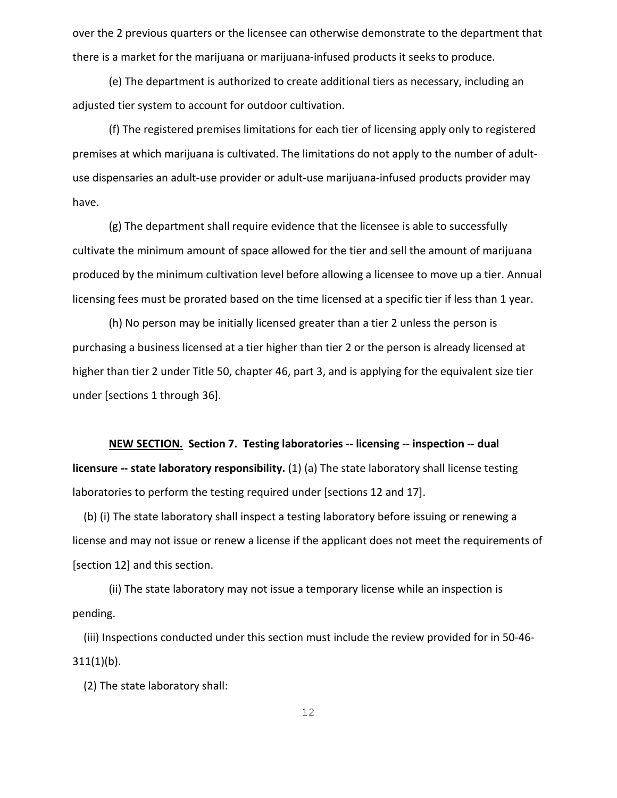over the 2 previous quarters or the licensee can otherwise demonstrate to the department that there is a market for the marijuana or marijuana-infused products it seeks to produce.

(e) The department is authorized to create additional tiers as necessary, including an adjusted tier system to account for outdoor cultivation.

(f) The registered premises limitations for each tier of licensing apply only to registered premises at which marijuana is cultivated. The limitations do not apply to the number of adultuse dispensaries an adult-use provider or adult-use marijuana-infused products provider may have.

(g) The department shall require evidence that the licensee is able to successfully cultivate the minimum amount of space allowed for the tier and sell the amount of marijuana produced by the minimum cultivation level before allowing a licensee to move up a tier. Annual licensing fees must be prorated based on the time licensed at a specific tier if less than 1 year.

(h) No person may be initially licensed greater than a tier 2 unless the person is purchasing a business licensed at a tier higher than tier 2 or the person is already licensed at higher than tier 2 under Title 50, chapter 46, part 3, and is applying for the equivalent size tier under [sections 1 through 36].

**NEW SECTION. Section 7. Testing laboratories -- licensing -- inspection -- dual licensure -- state laboratory responsibility.** (1) (a) The state laboratory shall license testing laboratories to perform the testing required under [sections 12 and 17].

 (b) (i) The state laboratory shall inspect a testing laboratory before issuing or renewing a license and may not issue or renew a license if the applicant does not meet the requirements of [section 12] and this section.

(ii) The state laboratory may not issue a temporary license while an inspection is pending.

 (iii) Inspections conducted under this section must include the review provided for in 50-46- 311(1)(b).

(2) The state laboratory shall: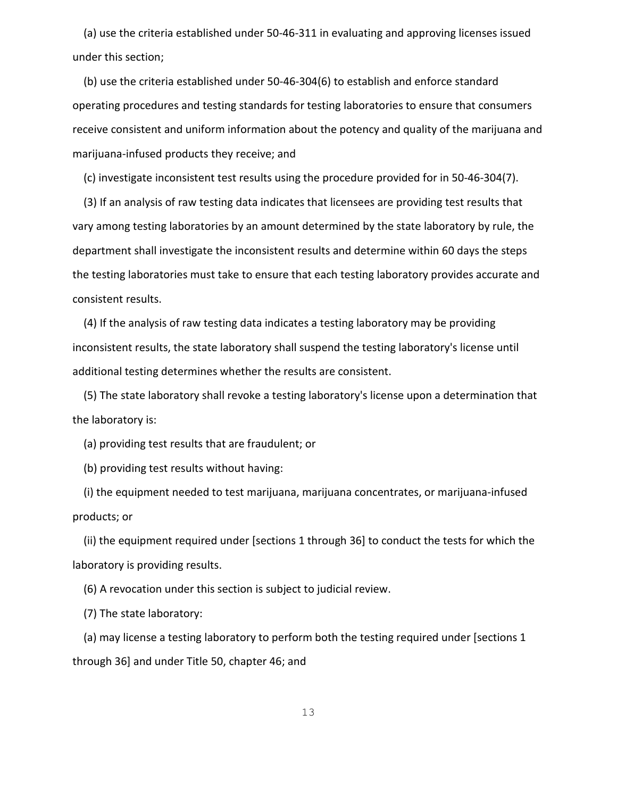(a) use the criteria established under 50-46-311 in evaluating and approving licenses issued under this section;

 (b) use the criteria established under 50-46-304(6) to establish and enforce standard operating procedures and testing standards for testing laboratories to ensure that consumers receive consistent and uniform information about the potency and quality of the marijuana and marijuana-infused products they receive; and

(c) investigate inconsistent test results using the procedure provided for in 50-46-304(7).

 (3) If an analysis of raw testing data indicates that licensees are providing test results that vary among testing laboratories by an amount determined by the state laboratory by rule, the department shall investigate the inconsistent results and determine within 60 days the steps the testing laboratories must take to ensure that each testing laboratory provides accurate and consistent results.

 (4) If the analysis of raw testing data indicates a testing laboratory may be providing inconsistent results, the state laboratory shall suspend the testing laboratory's license until additional testing determines whether the results are consistent.

 (5) The state laboratory shall revoke a testing laboratory's license upon a determination that the laboratory is:

(a) providing test results that are fraudulent; or

(b) providing test results without having:

 (i) the equipment needed to test marijuana, marijuana concentrates, or marijuana-infused products; or

 (ii) the equipment required under [sections 1 through 36] to conduct the tests for which the laboratory is providing results.

(6) A revocation under this section is subject to judicial review.

(7) The state laboratory:

 (a) may license a testing laboratory to perform both the testing required under [sections 1 through 36] and under Title 50, chapter 46; and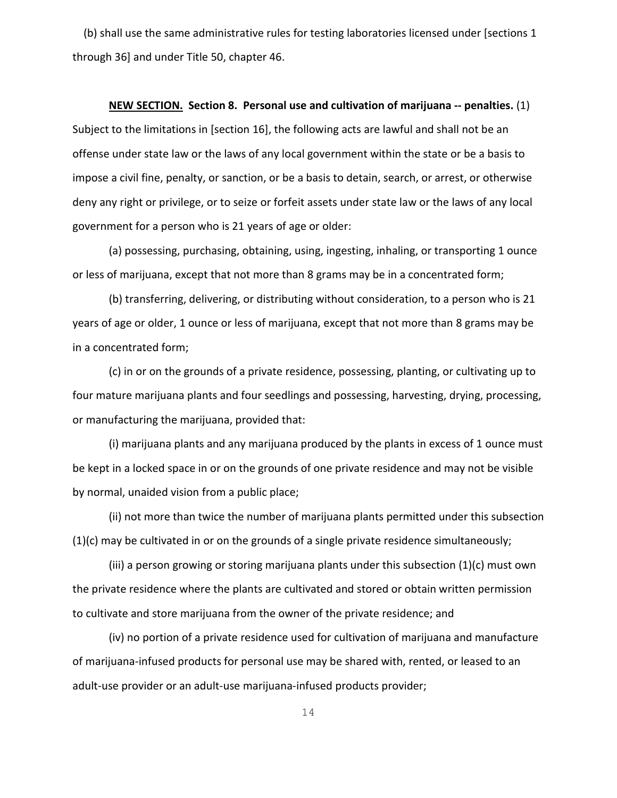(b) shall use the same administrative rules for testing laboratories licensed under [sections 1 through 36] and under Title 50, chapter 46.

#### **NEW SECTION. Section 8. Personal use and cultivation of marijuana -- penalties.** (1)

Subject to the limitations in [section 16], the following acts are lawful and shall not be an offense under state law or the laws of any local government within the state or be a basis to impose a civil fine, penalty, or sanction, or be a basis to detain, search, or arrest, or otherwise deny any right or privilege, or to seize or forfeit assets under state law or the laws of any local government for a person who is 21 years of age or older:

(a) possessing, purchasing, obtaining, using, ingesting, inhaling, or transporting 1 ounce or less of marijuana, except that not more than 8 grams may be in a concentrated form;

(b) transferring, delivering, or distributing without consideration, to a person who is 21 years of age or older, 1 ounce or less of marijuana, except that not more than 8 grams may be in a concentrated form;

(c) in or on the grounds of a private residence, possessing, planting, or cultivating up to four mature marijuana plants and four seedlings and possessing, harvesting, drying, processing, or manufacturing the marijuana, provided that:

(i) marijuana plants and any marijuana produced by the plants in excess of 1 ounce must be kept in a locked space in or on the grounds of one private residence and may not be visible by normal, unaided vision from a public place;

(ii) not more than twice the number of marijuana plants permitted under this subsection (1)(c) may be cultivated in or on the grounds of a single private residence simultaneously;

(iii) a person growing or storing marijuana plants under this subsection (1)(c) must own the private residence where the plants are cultivated and stored or obtain written permission to cultivate and store marijuana from the owner of the private residence; and

(iv) no portion of a private residence used for cultivation of marijuana and manufacture of marijuana-infused products for personal use may be shared with, rented, or leased to an adult-use provider or an adult-use marijuana-infused products provider;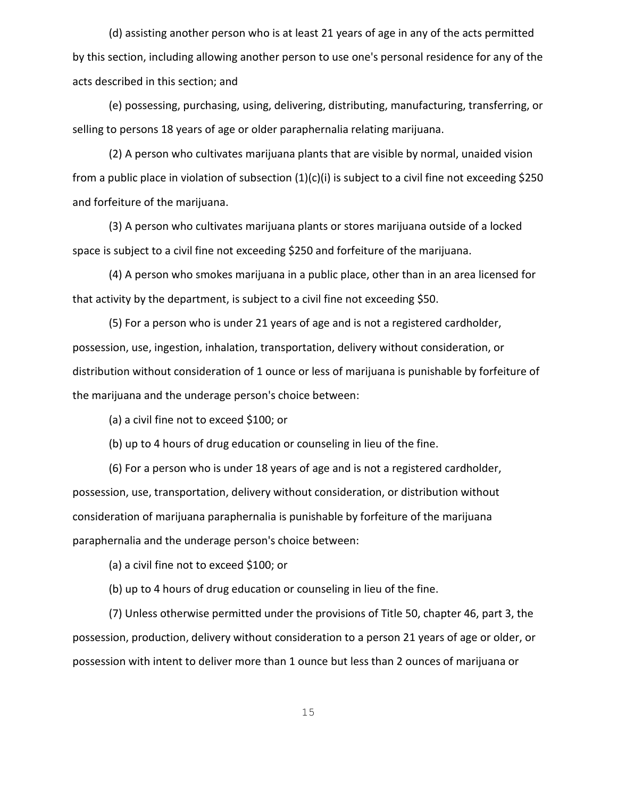(d) assisting another person who is at least 21 years of age in any of the acts permitted by this section, including allowing another person to use one's personal residence for any of the acts described in this section; and

(e) possessing, purchasing, using, delivering, distributing, manufacturing, transferring, or selling to persons 18 years of age or older paraphernalia relating marijuana.

(2) A person who cultivates marijuana plants that are visible by normal, unaided vision from a public place in violation of subsection (1)(c)(i) is subject to a civil fine not exceeding \$250 and forfeiture of the marijuana.

(3) A person who cultivates marijuana plants or stores marijuana outside of a locked space is subject to a civil fine not exceeding \$250 and forfeiture of the marijuana.

(4) A person who smokes marijuana in a public place, other than in an area licensed for that activity by the department, is subject to a civil fine not exceeding \$50.

(5) For a person who is under 21 years of age and is not a registered cardholder, possession, use, ingestion, inhalation, transportation, delivery without consideration, or distribution without consideration of 1 ounce or less of marijuana is punishable by forfeiture of the marijuana and the underage person's choice between:

(a) a civil fine not to exceed \$100; or

(b) up to 4 hours of drug education or counseling in lieu of the fine.

(6) For a person who is under 18 years of age and is not a registered cardholder, possession, use, transportation, delivery without consideration, or distribution without consideration of marijuana paraphernalia is punishable by forfeiture of the marijuana paraphernalia and the underage person's choice between:

(a) a civil fine not to exceed \$100; or

(b) up to 4 hours of drug education or counseling in lieu of the fine.

(7) Unless otherwise permitted under the provisions of Title 50, chapter 46, part 3, the possession, production, delivery without consideration to a person 21 years of age or older, or possession with intent to deliver more than 1 ounce but less than 2 ounces of marijuana or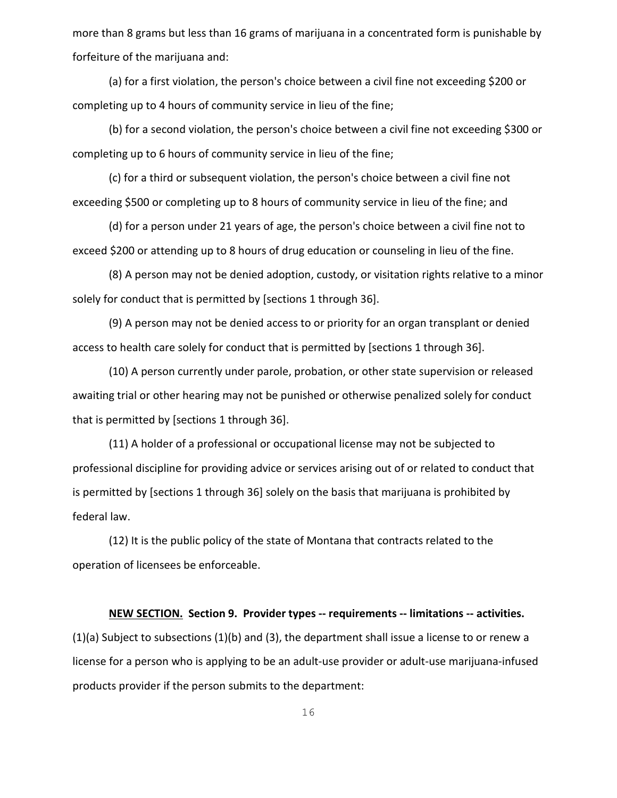more than 8 grams but less than 16 grams of marijuana in a concentrated form is punishable by forfeiture of the marijuana and:

(a) for a first violation, the person's choice between a civil fine not exceeding \$200 or completing up to 4 hours of community service in lieu of the fine;

(b) for a second violation, the person's choice between a civil fine not exceeding \$300 or completing up to 6 hours of community service in lieu of the fine;

(c) for a third or subsequent violation, the person's choice between a civil fine not exceeding \$500 or completing up to 8 hours of community service in lieu of the fine; and

(d) for a person under 21 years of age, the person's choice between a civil fine not to exceed \$200 or attending up to 8 hours of drug education or counseling in lieu of the fine.

(8) A person may not be denied adoption, custody, or visitation rights relative to a minor solely for conduct that is permitted by [sections 1 through 36].

(9) A person may not be denied access to or priority for an organ transplant or denied access to health care solely for conduct that is permitted by [sections 1 through 36].

(10) A person currently under parole, probation, or other state supervision or released awaiting trial or other hearing may not be punished or otherwise penalized solely for conduct that is permitted by [sections 1 through 36].

(11) A holder of a professional or occupational license may not be subjected to professional discipline for providing advice or services arising out of or related to conduct that is permitted by [sections 1 through 36] solely on the basis that marijuana is prohibited by federal law.

(12) It is the public policy of the state of Montana that contracts related to the operation of licensees be enforceable.

#### **NEW SECTION. Section 9. Provider types -- requirements -- limitations -- activities.**

(1)(a) Subject to subsections (1)(b) and (3), the department shall issue a license to or renew a license for a person who is applying to be an adult-use provider or adult-use marijuana-infused products provider if the person submits to the department: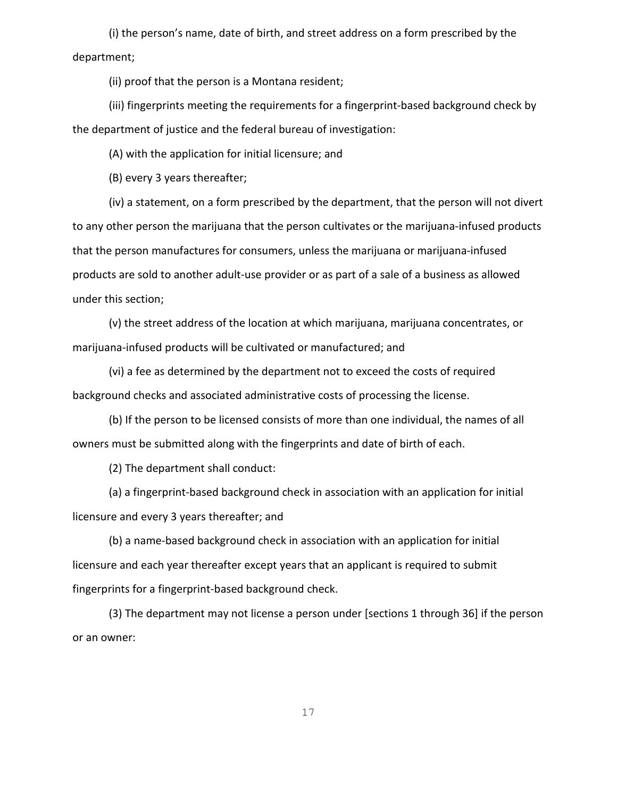(i) the person's name, date of birth, and street address on a form prescribed by the department;

(ii) proof that the person is a Montana resident;

(iii) fingerprints meeting the requirements for a fingerprint-based background check by the department of justice and the federal bureau of investigation:

(A) with the application for initial licensure; and

(B) every 3 years thereafter;

(iv) a statement, on a form prescribed by the department, that the person will not divert to any other person the marijuana that the person cultivates or the marijuana-infused products that the person manufactures for consumers, unless the marijuana or marijuana-infused products are sold to another adult-use provider or as part of a sale of a business as allowed under this section;

(v) the street address of the location at which marijuana, marijuana concentrates, or marijuana-infused products will be cultivated or manufactured; and

(vi) a fee as determined by the department not to exceed the costs of required background checks and associated administrative costs of processing the license.

(b) If the person to be licensed consists of more than one individual, the names of all owners must be submitted along with the fingerprints and date of birth of each.

(2) The department shall conduct:

(a) a fingerprint-based background check in association with an application for initial licensure and every 3 years thereafter; and

(b) a name-based background check in association with an application for initial licensure and each year thereafter except years that an applicant is required to submit fingerprints for a fingerprint-based background check.

(3) The department may not license a person under [sections 1 through 36] if the person or an owner: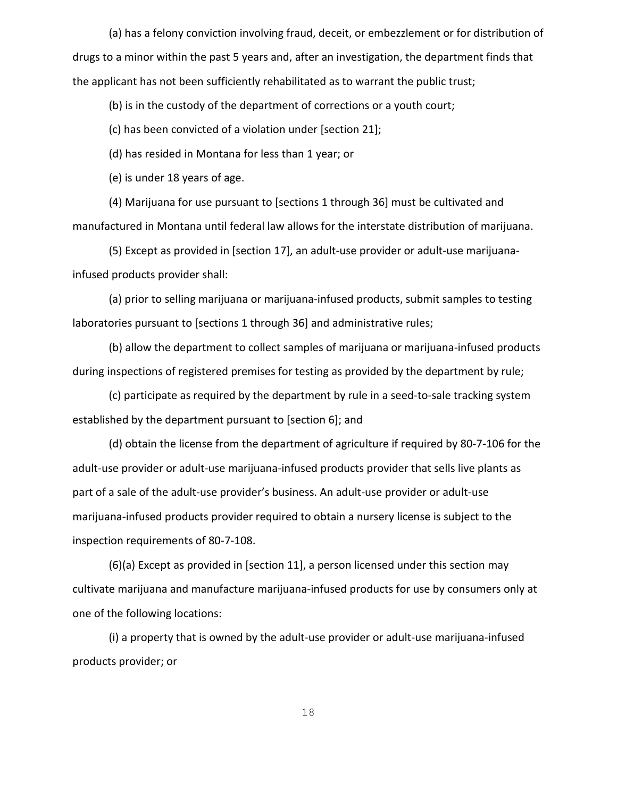(a) has a felony conviction involving fraud, deceit, or embezzlement or for distribution of drugs to a minor within the past 5 years and, after an investigation, the department finds that the applicant has not been sufficiently rehabilitated as to warrant the public trust;

(b) is in the custody of the department of corrections or a youth court;

(c) has been convicted of a violation under [section 21];

(d) has resided in Montana for less than 1 year; or

(e) is under 18 years of age.

(4) Marijuana for use pursuant to [sections 1 through 36] must be cultivated and manufactured in Montana until federal law allows for the interstate distribution of marijuana.

(5) Except as provided in [section 17], an adult-use provider or adult-use marijuanainfused products provider shall:

(a) prior to selling marijuana or marijuana-infused products, submit samples to testing laboratories pursuant to [sections 1 through 36] and administrative rules;

(b) allow the department to collect samples of marijuana or marijuana-infused products during inspections of registered premises for testing as provided by the department by rule;

(c) participate as required by the department by rule in a seed-to-sale tracking system established by the department pursuant to [section 6]; and

(d) obtain the license from the department of agriculture if required by 80-7-106 for the adult-use provider or adult-use marijuana-infused products provider that sells live plants as part of a sale of the adult-use provider's business. An adult-use provider or adult-use marijuana-infused products provider required to obtain a nursery license is subject to the inspection requirements of 80-7-108.

(6)(a) Except as provided in [section 11], a person licensed under this section may cultivate marijuana and manufacture marijuana-infused products for use by consumers only at one of the following locations:

(i) a property that is owned by the adult-use provider or adult-use marijuana-infused products provider; or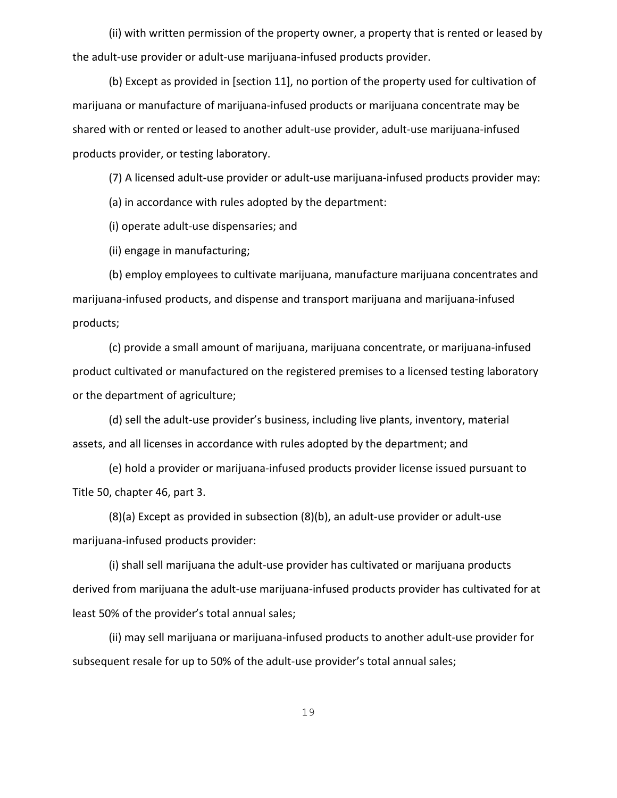(ii) with written permission of the property owner, a property that is rented or leased by the adult-use provider or adult-use marijuana-infused products provider.

(b) Except as provided in [section 11], no portion of the property used for cultivation of marijuana or manufacture of marijuana-infused products or marijuana concentrate may be shared with or rented or leased to another adult-use provider, adult-use marijuana-infused products provider, or testing laboratory.

(7) A licensed adult-use provider or adult-use marijuana-infused products provider may:

(a) in accordance with rules adopted by the department:

(i) operate adult-use dispensaries; and

(ii) engage in manufacturing;

(b) employ employees to cultivate marijuana, manufacture marijuana concentrates and marijuana-infused products, and dispense and transport marijuana and marijuana-infused products;

(c) provide a small amount of marijuana, marijuana concentrate, or marijuana-infused product cultivated or manufactured on the registered premises to a licensed testing laboratory or the department of agriculture;

(d) sell the adult-use provider's business, including live plants, inventory, material assets, and all licenses in accordance with rules adopted by the department; and

(e) hold a provider or marijuana-infused products provider license issued pursuant to Title 50, chapter 46, part 3.

(8)(a) Except as provided in subsection (8)(b), an adult-use provider or adult-use marijuana-infused products provider:

(i) shall sell marijuana the adult-use provider has cultivated or marijuana products derived from marijuana the adult-use marijuana-infused products provider has cultivated for at least 50% of the provider's total annual sales;

(ii) may sell marijuana or marijuana-infused products to another adult-use provider for subsequent resale for up to 50% of the adult-use provider's total annual sales;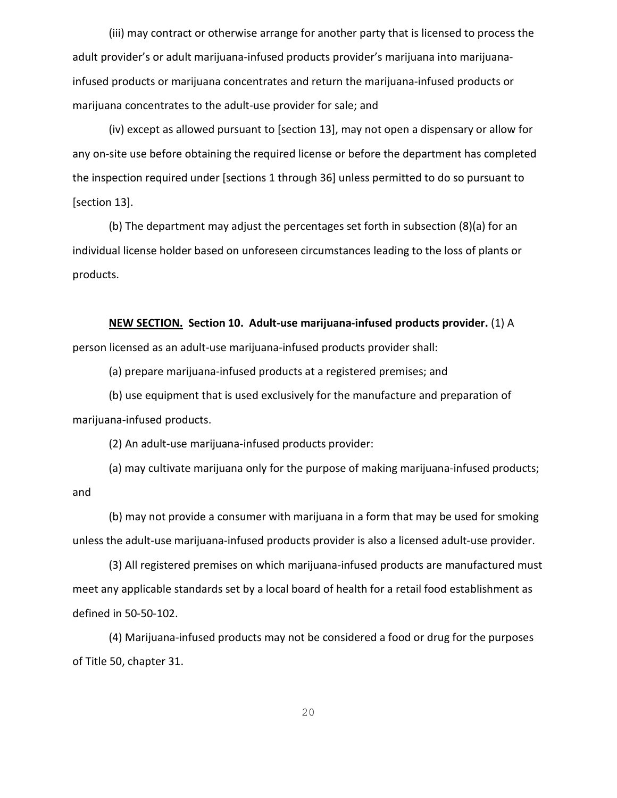(iii) may contract or otherwise arrange for another party that is licensed to process the adult provider's or adult marijuana-infused products provider's marijuana into marijuanainfused products or marijuana concentrates and return the marijuana-infused products or marijuana concentrates to the adult-use provider for sale; and

(iv) except as allowed pursuant to [section 13], may not open a dispensary or allow for any on-site use before obtaining the required license or before the department has completed the inspection required under [sections 1 through 36] unless permitted to do so pursuant to [section 13].

(b) The department may adjust the percentages set forth in subsection (8)(a) for an individual license holder based on unforeseen circumstances leading to the loss of plants or products.

**NEW SECTION. Section 10. Adult-use marijuana-infused products provider.** (1) A

person licensed as an adult-use marijuana-infused products provider shall:

(a) prepare marijuana-infused products at a registered premises; and

(b) use equipment that is used exclusively for the manufacture and preparation of marijuana-infused products.

(2) An adult-use marijuana-infused products provider:

(a) may cultivate marijuana only for the purpose of making marijuana-infused products; and

(b) may not provide a consumer with marijuana in a form that may be used for smoking unless the adult-use marijuana-infused products provider is also a licensed adult-use provider.

(3) All registered premises on which marijuana-infused products are manufactured must meet any applicable standards set by a local board of health for a retail food establishment as defined in 50-50-102.

(4) Marijuana-infused products may not be considered a food or drug for the purposes of Title 50, chapter 31.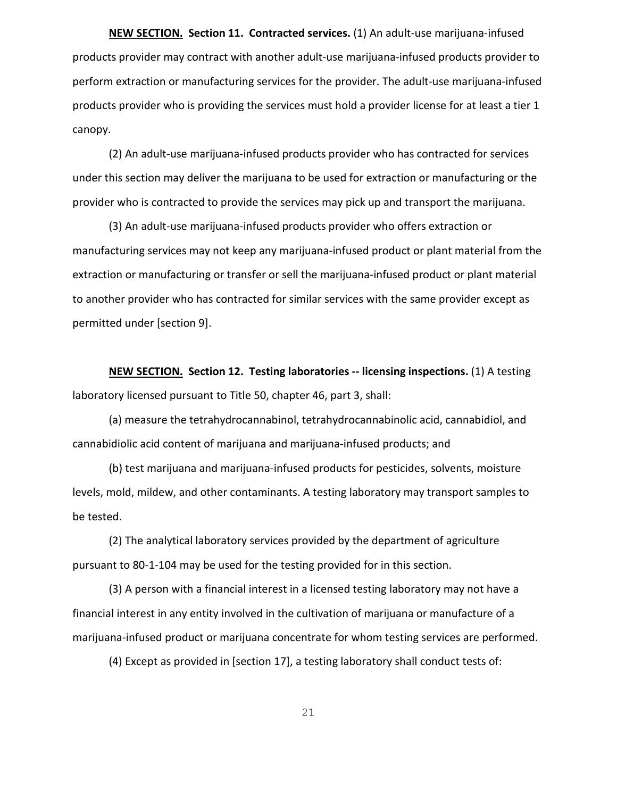**NEW SECTION. Section 11. Contracted services.** (1) An adult-use marijuana-infused products provider may contract with another adult-use marijuana-infused products provider to perform extraction or manufacturing services for the provider. The adult-use marijuana-infused products provider who is providing the services must hold a provider license for at least a tier 1 canopy.

(2) An adult-use marijuana-infused products provider who has contracted for services under this section may deliver the marijuana to be used for extraction or manufacturing or the provider who is contracted to provide the services may pick up and transport the marijuana.

(3) An adult-use marijuana-infused products provider who offers extraction or manufacturing services may not keep any marijuana-infused product or plant material from the extraction or manufacturing or transfer or sell the marijuana-infused product or plant material to another provider who has contracted for similar services with the same provider except as permitted under [section 9].

**NEW SECTION. Section 12. Testing laboratories -- licensing inspections.** (1) A testing laboratory licensed pursuant to Title 50, chapter 46, part 3, shall:

(a) measure the tetrahydrocannabinol, tetrahydrocannabinolic acid, cannabidiol, and cannabidiolic acid content of marijuana and marijuana-infused products; and

(b) test marijuana and marijuana-infused products for pesticides, solvents, moisture levels, mold, mildew, and other contaminants. A testing laboratory may transport samples to be tested.

(2) The analytical laboratory services provided by the department of agriculture pursuant to 80-1-104 may be used for the testing provided for in this section.

(3) A person with a financial interest in a licensed testing laboratory may not have a financial interest in any entity involved in the cultivation of marijuana or manufacture of a marijuana-infused product or marijuana concentrate for whom testing services are performed.

(4) Except as provided in [section 17], a testing laboratory shall conduct tests of: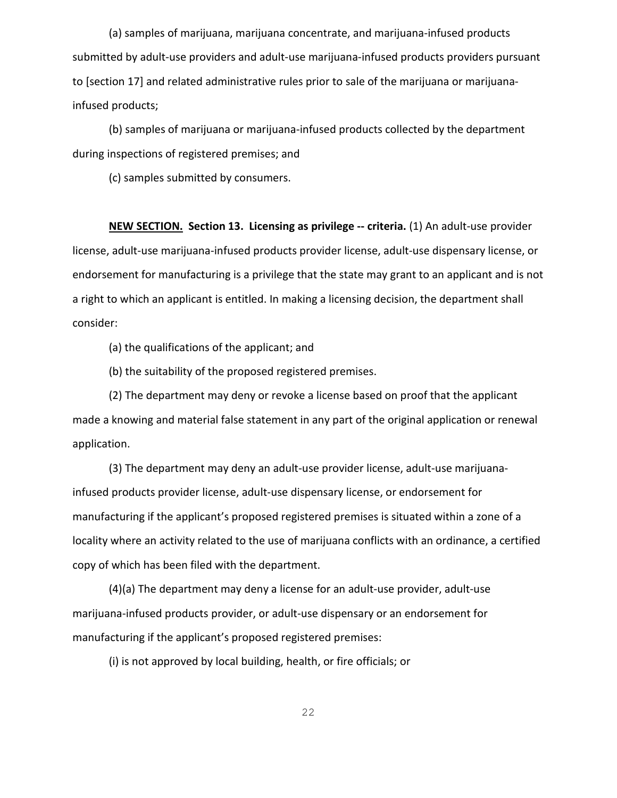(a) samples of marijuana, marijuana concentrate, and marijuana-infused products submitted by adult-use providers and adult-use marijuana-infused products providers pursuant to [section 17] and related administrative rules prior to sale of the marijuana or marijuanainfused products;

(b) samples of marijuana or marijuana-infused products collected by the department during inspections of registered premises; and

(c) samples submitted by consumers.

**NEW SECTION. Section 13. Licensing as privilege -- criteria.** (1) An adult-use provider license, adult-use marijuana-infused products provider license, adult-use dispensary license, or endorsement for manufacturing is a privilege that the state may grant to an applicant and is not a right to which an applicant is entitled. In making a licensing decision, the department shall consider:

(a) the qualifications of the applicant; and

(b) the suitability of the proposed registered premises.

(2) The department may deny or revoke a license based on proof that the applicant made a knowing and material false statement in any part of the original application or renewal application.

(3) The department may deny an adult-use provider license, adult-use marijuanainfused products provider license, adult-use dispensary license, or endorsement for manufacturing if the applicant's proposed registered premises is situated within a zone of a locality where an activity related to the use of marijuana conflicts with an ordinance, a certified copy of which has been filed with the department.

(4)(a) The department may deny a license for an adult-use provider, adult-use marijuana-infused products provider, or adult-use dispensary or an endorsement for manufacturing if the applicant's proposed registered premises:

(i) is not approved by local building, health, or fire officials; or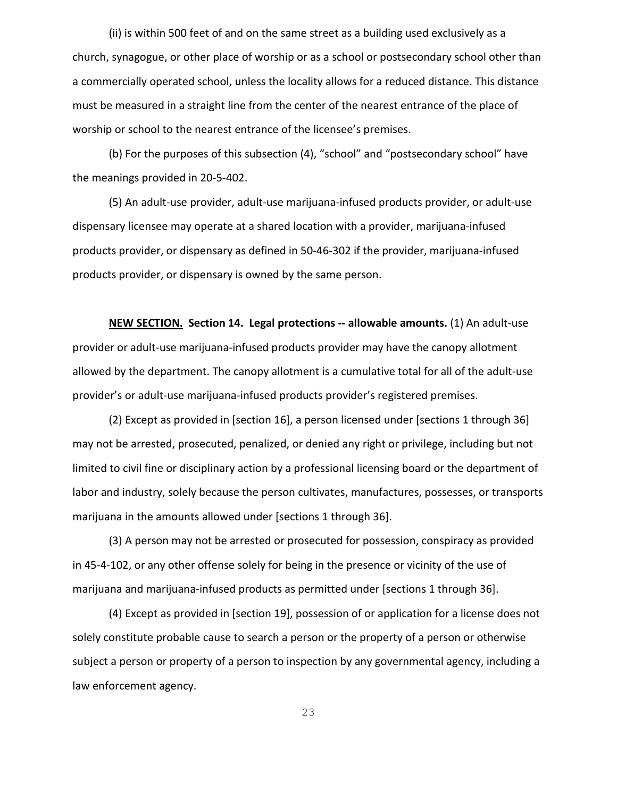(ii) is within 500 feet of and on the same street as a building used exclusively as a church, synagogue, or other place of worship or as a school or postsecondary school other than a commercially operated school, unless the locality allows for a reduced distance. This distance must be measured in a straight line from the center of the nearest entrance of the place of worship or school to the nearest entrance of the licensee's premises.

(b) For the purposes of this subsection (4), "school" and "postsecondary school" have the meanings provided in 20-5-402.

(5) An adult-use provider, adult-use marijuana-infused products provider, or adult-use dispensary licensee may operate at a shared location with a provider, marijuana-infused products provider, or dispensary as defined in 50-46-302 if the provider, marijuana-infused products provider, or dispensary is owned by the same person.

**NEW SECTION. Section 14. Legal protections -- allowable amounts.** (1) An adult-use provider or adult-use marijuana-infused products provider may have the canopy allotment allowed by the department. The canopy allotment is a cumulative total for all of the adult-use provider's or adult-use marijuana-infused products provider's registered premises.

(2) Except as provided in [section 16], a person licensed under [sections 1 through 36] may not be arrested, prosecuted, penalized, or denied any right or privilege, including but not limited to civil fine or disciplinary action by a professional licensing board or the department of labor and industry, solely because the person cultivates, manufactures, possesses, or transports marijuana in the amounts allowed under [sections 1 through 36].

(3) A person may not be arrested or prosecuted for possession, conspiracy as provided in 45-4-102, or any other offense solely for being in the presence or vicinity of the use of marijuana and marijuana-infused products as permitted under [sections 1 through 36].

(4) Except as provided in [section 19], possession of or application for a license does not solely constitute probable cause to search a person or the property of a person or otherwise subject a person or property of a person to inspection by any governmental agency, including a law enforcement agency.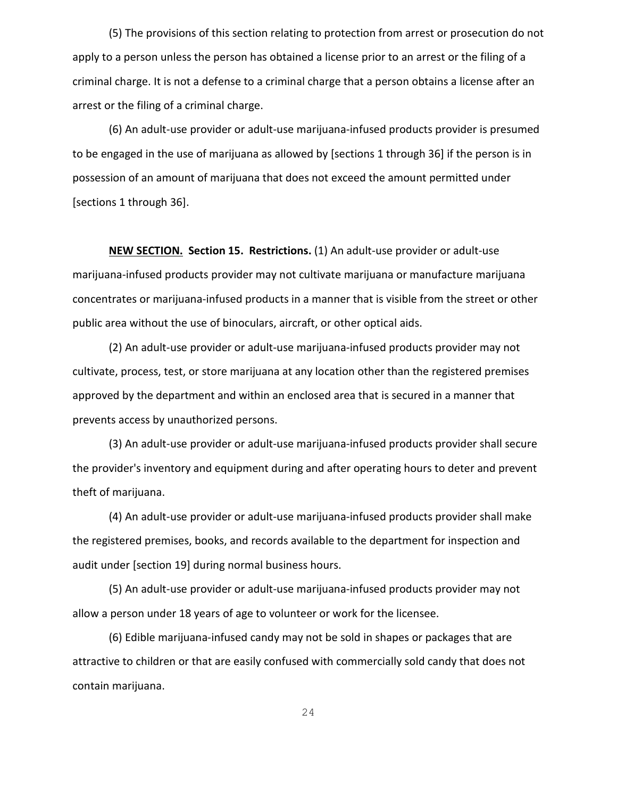(5) The provisions of this section relating to protection from arrest or prosecution do not apply to a person unless the person has obtained a license prior to an arrest or the filing of a criminal charge. It is not a defense to a criminal charge that a person obtains a license after an arrest or the filing of a criminal charge.

(6) An adult-use provider or adult-use marijuana-infused products provider is presumed to be engaged in the use of marijuana as allowed by [sections 1 through 36] if the person is in possession of an amount of marijuana that does not exceed the amount permitted under [sections 1 through 36].

**NEW SECTION. Section 15. Restrictions.** (1) An adult-use provider or adult-use marijuana-infused products provider may not cultivate marijuana or manufacture marijuana concentrates or marijuana-infused products in a manner that is visible from the street or other public area without the use of binoculars, aircraft, or other optical aids.

(2) An adult-use provider or adult-use marijuana-infused products provider may not cultivate, process, test, or store marijuana at any location other than the registered premises approved by the department and within an enclosed area that is secured in a manner that prevents access by unauthorized persons.

(3) An adult-use provider or adult-use marijuana-infused products provider shall secure the provider's inventory and equipment during and after operating hours to deter and prevent theft of marijuana.

(4) An adult-use provider or adult-use marijuana-infused products provider shall make the registered premises, books, and records available to the department for inspection and audit under [section 19] during normal business hours.

(5) An adult-use provider or adult-use marijuana-infused products provider may not allow a person under 18 years of age to volunteer or work for the licensee.

(6) Edible marijuana-infused candy may not be sold in shapes or packages that are attractive to children or that are easily confused with commercially sold candy that does not contain marijuana.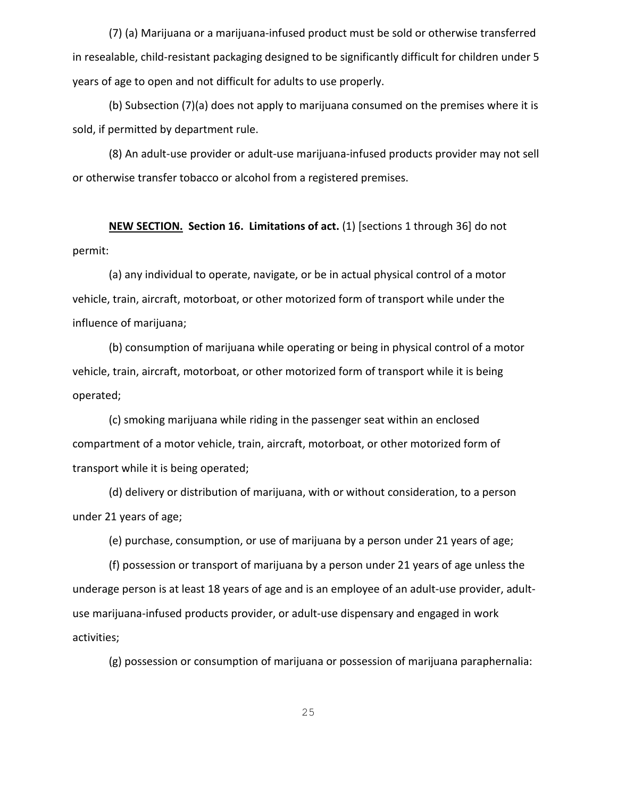(7) (a) Marijuana or a marijuana-infused product must be sold or otherwise transferred in resealable, child-resistant packaging designed to be significantly difficult for children under 5 years of age to open and not difficult for adults to use properly.

(b) Subsection (7)(a) does not apply to marijuana consumed on the premises where it is sold, if permitted by department rule.

(8) An adult-use provider or adult-use marijuana-infused products provider may not sell or otherwise transfer tobacco or alcohol from a registered premises.

**NEW SECTION. Section 16. Limitations of act.** (1) [sections 1 through 36] do not permit:

(a) any individual to operate, navigate, or be in actual physical control of a motor vehicle, train, aircraft, motorboat, or other motorized form of transport while under the influence of marijuana;

(b) consumption of marijuana while operating or being in physical control of a motor vehicle, train, aircraft, motorboat, or other motorized form of transport while it is being operated;

(c) smoking marijuana while riding in the passenger seat within an enclosed compartment of a motor vehicle, train, aircraft, motorboat, or other motorized form of transport while it is being operated;

(d) delivery or distribution of marijuana, with or without consideration, to a person under 21 years of age;

(e) purchase, consumption, or use of marijuana by a person under 21 years of age;

(f) possession or transport of marijuana by a person under 21 years of age unless the underage person is at least 18 years of age and is an employee of an adult-use provider, adultuse marijuana-infused products provider, or adult-use dispensary and engaged in work activities;

(g) possession or consumption of marijuana or possession of marijuana paraphernalia: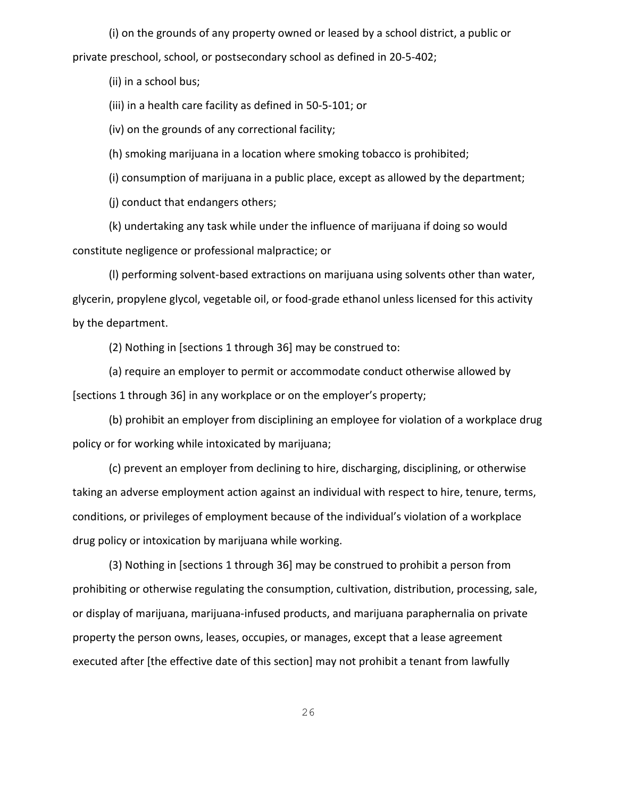(i) on the grounds of any property owned or leased by a school district, a public or private preschool, school, or postsecondary school as defined in 20-5-402;

(ii) in a school bus;

(iii) in a health care facility as defined in 50-5-101; or

(iv) on the grounds of any correctional facility;

(h) smoking marijuana in a location where smoking tobacco is prohibited;

(i) consumption of marijuana in a public place, except as allowed by the department;

(j) conduct that endangers others;

(k) undertaking any task while under the influence of marijuana if doing so would constitute negligence or professional malpractice; or

(l) performing solvent-based extractions on marijuana using solvents other than water, glycerin, propylene glycol, vegetable oil, or food-grade ethanol unless licensed for this activity by the department.

(2) Nothing in [sections 1 through 36] may be construed to:

(a) require an employer to permit or accommodate conduct otherwise allowed by [sections 1 through 36] in any workplace or on the employer's property;

(b) prohibit an employer from disciplining an employee for violation of a workplace drug policy or for working while intoxicated by marijuana;

(c) prevent an employer from declining to hire, discharging, disciplining, or otherwise taking an adverse employment action against an individual with respect to hire, tenure, terms, conditions, or privileges of employment because of the individual's violation of a workplace drug policy or intoxication by marijuana while working.

(3) Nothing in [sections 1 through 36] may be construed to prohibit a person from prohibiting or otherwise regulating the consumption, cultivation, distribution, processing, sale, or display of marijuana, marijuana-infused products, and marijuana paraphernalia on private property the person owns, leases, occupies, or manages, except that a lease agreement executed after [the effective date of this section] may not prohibit a tenant from lawfully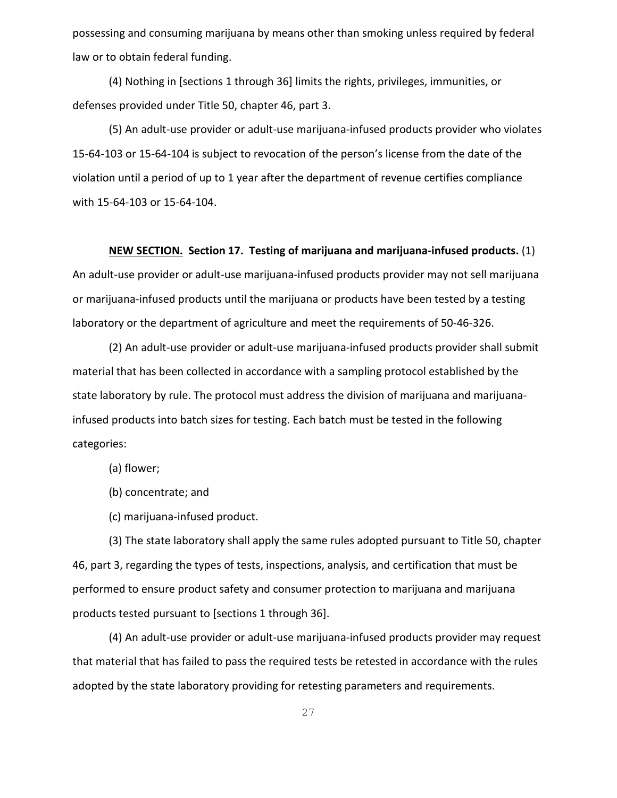possessing and consuming marijuana by means other than smoking unless required by federal law or to obtain federal funding.

(4) Nothing in [sections 1 through 36] limits the rights, privileges, immunities, or defenses provided under Title 50, chapter 46, part 3.

(5) An adult-use provider or adult-use marijuana-infused products provider who violates 15-64-103 or 15-64-104 is subject to revocation of the person's license from the date of the violation until a period of up to 1 year after the department of revenue certifies compliance with 15-64-103 or 15-64-104.

#### **NEW SECTION. Section 17. Testing of marijuana and marijuana-infused products.** (1)

An adult-use provider or adult-use marijuana-infused products provider may not sell marijuana or marijuana-infused products until the marijuana or products have been tested by a testing laboratory or the department of agriculture and meet the requirements of 50-46-326.

(2) An adult-use provider or adult-use marijuana-infused products provider shall submit material that has been collected in accordance with a sampling protocol established by the state laboratory by rule. The protocol must address the division of marijuana and marijuanainfused products into batch sizes for testing. Each batch must be tested in the following categories:

(a) flower;

(b) concentrate; and

(c) marijuana-infused product.

(3) The state laboratory shall apply the same rules adopted pursuant to Title 50, chapter 46, part 3, regarding the types of tests, inspections, analysis, and certification that must be performed to ensure product safety and consumer protection to marijuana and marijuana products tested pursuant to [sections 1 through 36].

(4) An adult-use provider or adult-use marijuana-infused products provider may request that material that has failed to pass the required tests be retested in accordance with the rules adopted by the state laboratory providing for retesting parameters and requirements.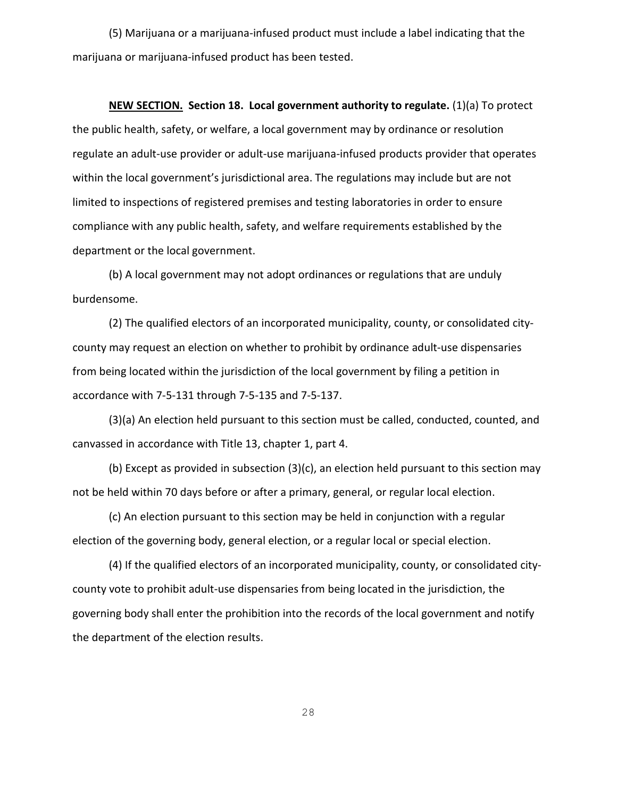(5) Marijuana or a marijuana-infused product must include a label indicating that the marijuana or marijuana-infused product has been tested.

**NEW SECTION. Section 18. Local government authority to regulate.** (1)(a) To protect the public health, safety, or welfare, a local government may by ordinance or resolution regulate an adult-use provider or adult-use marijuana-infused products provider that operates within the local government's jurisdictional area. The regulations may include but are not limited to inspections of registered premises and testing laboratories in order to ensure compliance with any public health, safety, and welfare requirements established by the department or the local government.

(b) A local government may not adopt ordinances or regulations that are unduly burdensome.

(2) The qualified electors of an incorporated municipality, county, or consolidated citycounty may request an election on whether to prohibit by ordinance adult-use dispensaries from being located within the jurisdiction of the local government by filing a petition in accordance with 7-5-131 through 7-5-135 and 7-5-137.

(3)(a) An election held pursuant to this section must be called, conducted, counted, and canvassed in accordance with Title 13, chapter 1, part 4.

(b) Except as provided in subsection (3)(c), an election held pursuant to this section may not be held within 70 days before or after a primary, general, or regular local election.

(c) An election pursuant to this section may be held in conjunction with a regular election of the governing body, general election, or a regular local or special election.

(4) If the qualified electors of an incorporated municipality, county, or consolidated citycounty vote to prohibit adult-use dispensaries from being located in the jurisdiction, the governing body shall enter the prohibition into the records of the local government and notify the department of the election results.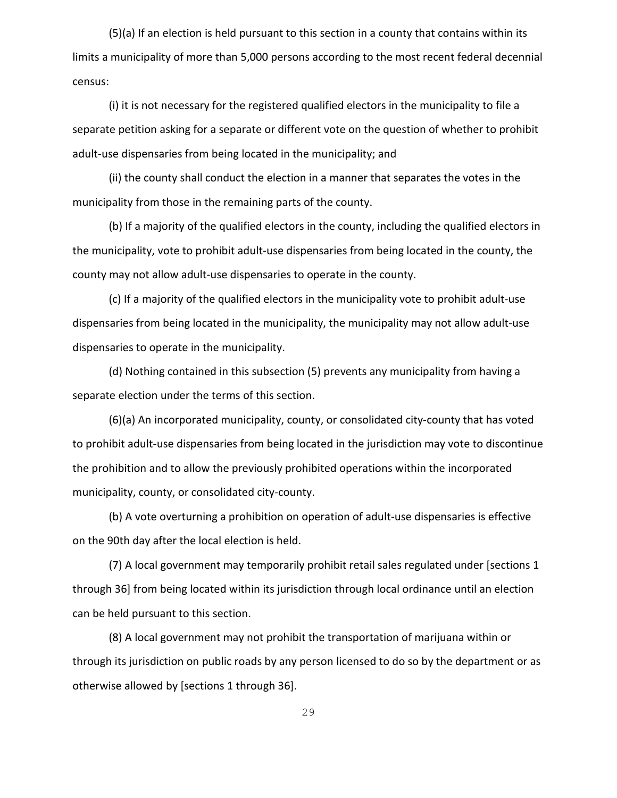(5)(a) If an election is held pursuant to this section in a county that contains within its limits a municipality of more than 5,000 persons according to the most recent federal decennial census:

(i) it is not necessary for the registered qualified electors in the municipality to file a separate petition asking for a separate or different vote on the question of whether to prohibit adult-use dispensaries from being located in the municipality; and

(ii) the county shall conduct the election in a manner that separates the votes in the municipality from those in the remaining parts of the county.

(b) If a majority of the qualified electors in the county, including the qualified electors in the municipality, vote to prohibit adult-use dispensaries from being located in the county, the county may not allow adult-use dispensaries to operate in the county.

(c) If a majority of the qualified electors in the municipality vote to prohibit adult-use dispensaries from being located in the municipality, the municipality may not allow adult-use dispensaries to operate in the municipality.

(d) Nothing contained in this subsection (5) prevents any municipality from having a separate election under the terms of this section.

(6)(a) An incorporated municipality, county, or consolidated city-county that has voted to prohibit adult-use dispensaries from being located in the jurisdiction may vote to discontinue the prohibition and to allow the previously prohibited operations within the incorporated municipality, county, or consolidated city-county.

(b) A vote overturning a prohibition on operation of adult-use dispensaries is effective on the 90th day after the local election is held.

(7) A local government may temporarily prohibit retail sales regulated under [sections 1 through 36] from being located within its jurisdiction through local ordinance until an election can be held pursuant to this section.

(8) A local government may not prohibit the transportation of marijuana within or through its jurisdiction on public roads by any person licensed to do so by the department or as otherwise allowed by [sections 1 through 36].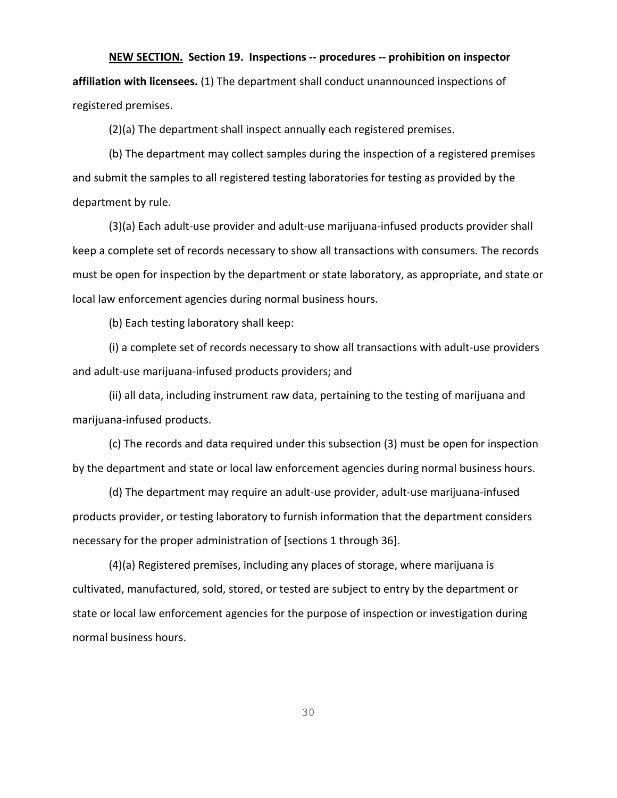### **NEW SECTION. Section 19. Inspections -- procedures -- prohibition on inspector**

**affiliation with licensees.** (1) The department shall conduct unannounced inspections of registered premises.

(2)(a) The department shall inspect annually each registered premises.

(b) The department may collect samples during the inspection of a registered premises and submit the samples to all registered testing laboratories for testing as provided by the department by rule.

(3)(a) Each adult-use provider and adult-use marijuana-infused products provider shall keep a complete set of records necessary to show all transactions with consumers. The records must be open for inspection by the department or state laboratory, as appropriate, and state or local law enforcement agencies during normal business hours.

(b) Each testing laboratory shall keep:

(i) a complete set of records necessary to show all transactions with adult-use providers and adult-use marijuana-infused products providers; and

(ii) all data, including instrument raw data, pertaining to the testing of marijuana and marijuana-infused products.

(c) The records and data required under this subsection (3) must be open for inspection by the department and state or local law enforcement agencies during normal business hours.

(d) The department may require an adult-use provider, adult-use marijuana-infused products provider, or testing laboratory to furnish information that the department considers necessary for the proper administration of [sections 1 through 36].

(4)(a) Registered premises, including any places of storage, where marijuana is cultivated, manufactured, sold, stored, or tested are subject to entry by the department or state or local law enforcement agencies for the purpose of inspection or investigation during normal business hours.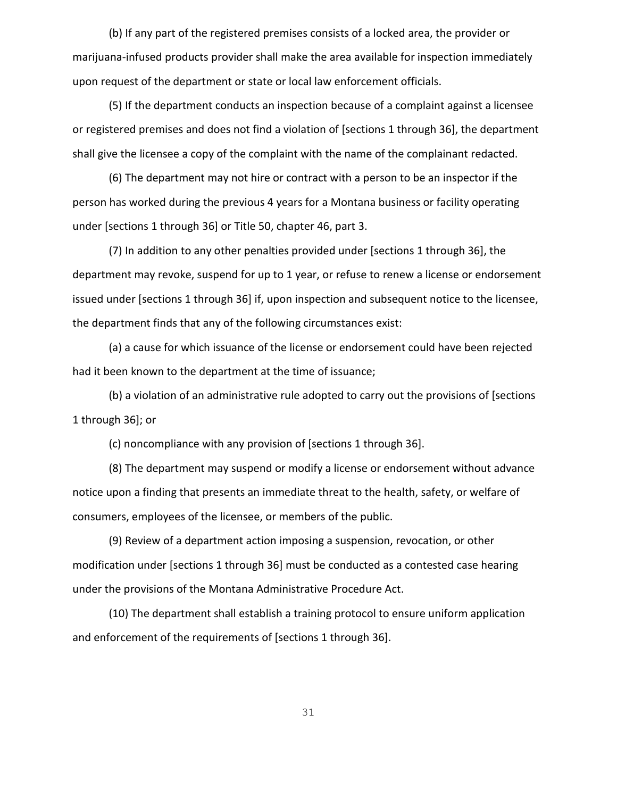(b) If any part of the registered premises consists of a locked area, the provider or marijuana-infused products provider shall make the area available for inspection immediately upon request of the department or state or local law enforcement officials.

(5) If the department conducts an inspection because of a complaint against a licensee or registered premises and does not find a violation of [sections 1 through 36], the department shall give the licensee a copy of the complaint with the name of the complainant redacted.

(6) The department may not hire or contract with a person to be an inspector if the person has worked during the previous 4 years for a Montana business or facility operating under [sections 1 through 36] or Title 50, chapter 46, part 3.

(7) In addition to any other penalties provided under [sections 1 through 36], the department may revoke, suspend for up to 1 year, or refuse to renew a license or endorsement issued under [sections 1 through 36] if, upon inspection and subsequent notice to the licensee, the department finds that any of the following circumstances exist:

(a) a cause for which issuance of the license or endorsement could have been rejected had it been known to the department at the time of issuance;

(b) a violation of an administrative rule adopted to carry out the provisions of [sections 1 through 36]; or

(c) noncompliance with any provision of [sections 1 through 36].

(8) The department may suspend or modify a license or endorsement without advance notice upon a finding that presents an immediate threat to the health, safety, or welfare of consumers, employees of the licensee, or members of the public.

(9) Review of a department action imposing a suspension, revocation, or other modification under [sections 1 through 36] must be conducted as a contested case hearing under the provisions of the Montana Administrative Procedure Act.

(10) The department shall establish a training protocol to ensure uniform application and enforcement of the requirements of [sections 1 through 36].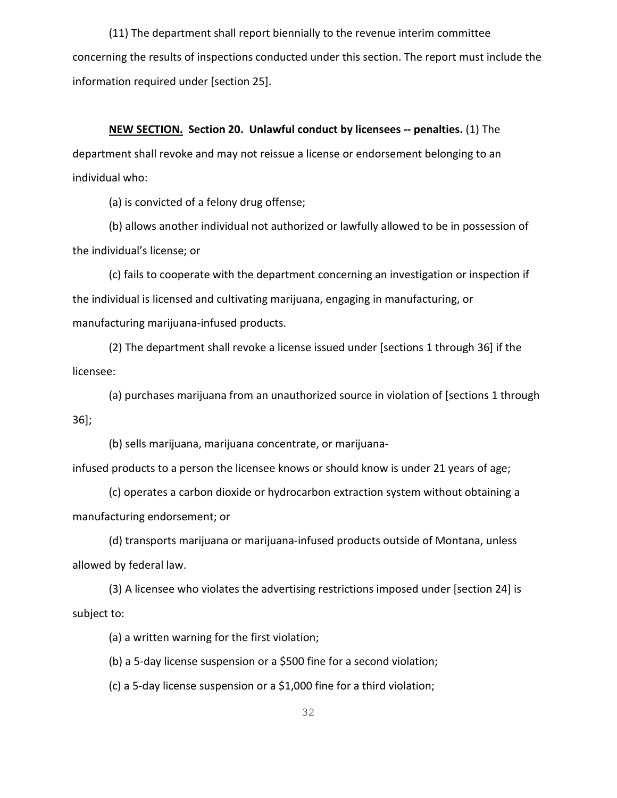(11) The department shall report biennially to the revenue interim committee concerning the results of inspections conducted under this section. The report must include the information required under [section 25].

## **NEW SECTION. Section 20. Unlawful conduct by licensees -- penalties.** (1) The

department shall revoke and may not reissue a license or endorsement belonging to an individual who:

(a) is convicted of a felony drug offense;

(b) allows another individual not authorized or lawfully allowed to be in possession of the individual's license; or

(c) fails to cooperate with the department concerning an investigation or inspection if the individual is licensed and cultivating marijuana, engaging in manufacturing, or manufacturing marijuana-infused products.

(2) The department shall revoke a license issued under [sections 1 through 36] if the licensee:

(a) purchases marijuana from an unauthorized source in violation of [sections 1 through 36];

(b) sells marijuana, marijuana concentrate, or marijuana-

infused products to a person the licensee knows or should know is under 21 years of age;

(c) operates a carbon dioxide or hydrocarbon extraction system without obtaining a manufacturing endorsement; or

(d) transports marijuana or marijuana-infused products outside of Montana, unless allowed by federal law.

(3) A licensee who violates the advertising restrictions imposed under [section 24] is subject to:

(a) a written warning for the first violation;

(b) a 5-day license suspension or a \$500 fine for a second violation;

(c) a 5-day license suspension or a \$1,000 fine for a third violation;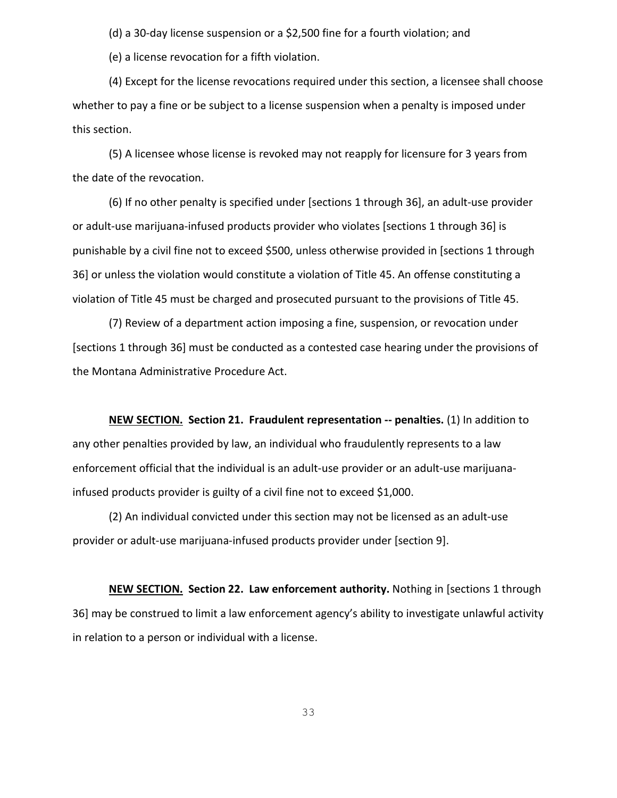(d) a 30-day license suspension or a \$2,500 fine for a fourth violation; and

(e) a license revocation for a fifth violation.

(4) Except for the license revocations required under this section, a licensee shall choose whether to pay a fine or be subject to a license suspension when a penalty is imposed under this section.

(5) A licensee whose license is revoked may not reapply for licensure for 3 years from the date of the revocation.

(6) If no other penalty is specified under [sections 1 through 36], an adult-use provider or adult-use marijuana-infused products provider who violates [sections 1 through 36] is punishable by a civil fine not to exceed \$500, unless otherwise provided in [sections 1 through 36] or unless the violation would constitute a violation of Title 45. An offense constituting a violation of Title 45 must be charged and prosecuted pursuant to the provisions of Title 45.

(7) Review of a department action imposing a fine, suspension, or revocation under [sections 1 through 36] must be conducted as a contested case hearing under the provisions of the Montana Administrative Procedure Act.

**NEW SECTION. Section 21. Fraudulent representation -- penalties.** (1) In addition to any other penalties provided by law, an individual who fraudulently represents to a law enforcement official that the individual is an adult-use provider or an adult-use marijuanainfused products provider is guilty of a civil fine not to exceed \$1,000.

(2) An individual convicted under this section may not be licensed as an adult-use provider or adult-use marijuana-infused products provider under [section 9].

**NEW SECTION. Section 22. Law enforcement authority.** Nothing in [sections 1 through 36] may be construed to limit a law enforcement agency's ability to investigate unlawful activity in relation to a person or individual with a license.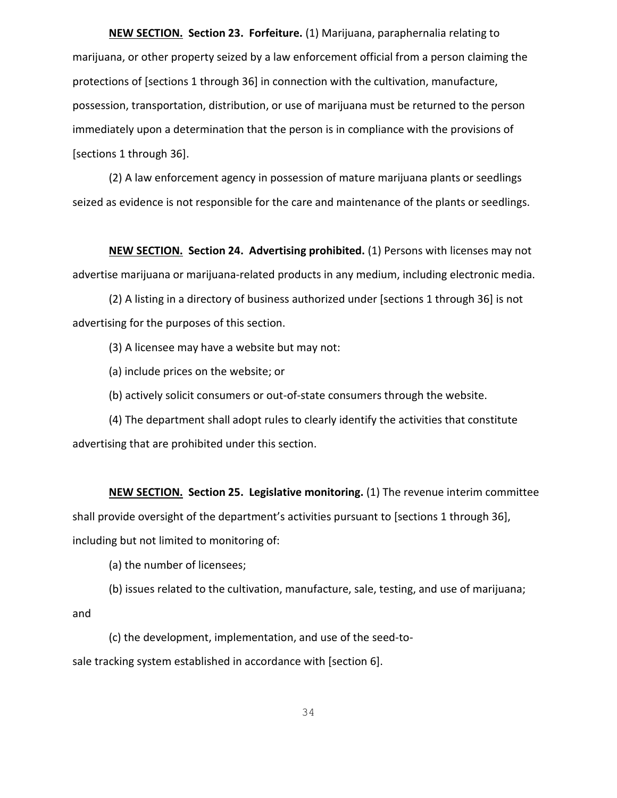**NEW SECTION. Section 23. Forfeiture.** (1) Marijuana, paraphernalia relating to marijuana, or other property seized by a law enforcement official from a person claiming the protections of [sections 1 through 36] in connection with the cultivation, manufacture, possession, transportation, distribution, or use of marijuana must be returned to the person immediately upon a determination that the person is in compliance with the provisions of [sections 1 through 36].

(2) A law enforcement agency in possession of mature marijuana plants or seedlings seized as evidence is not responsible for the care and maintenance of the plants or seedlings.

**NEW SECTION. Section 24. Advertising prohibited.** (1) Persons with licenses may not advertise marijuana or marijuana-related products in any medium, including electronic media.

(2) A listing in a directory of business authorized under [sections 1 through 36] is not advertising for the purposes of this section.

(3) A licensee may have a website but may not:

(a) include prices on the website; or

(b) actively solicit consumers or out-of-state consumers through the website.

(4) The department shall adopt rules to clearly identify the activities that constitute advertising that are prohibited under this section.

**NEW SECTION. Section 25. Legislative monitoring.** (1) The revenue interim committee shall provide oversight of the department's activities pursuant to [sections 1 through 36], including but not limited to monitoring of:

(a) the number of licensees;

(b) issues related to the cultivation, manufacture, sale, testing, and use of marijuana; and

(c) the development, implementation, and use of the seed-tosale tracking system established in accordance with [section 6].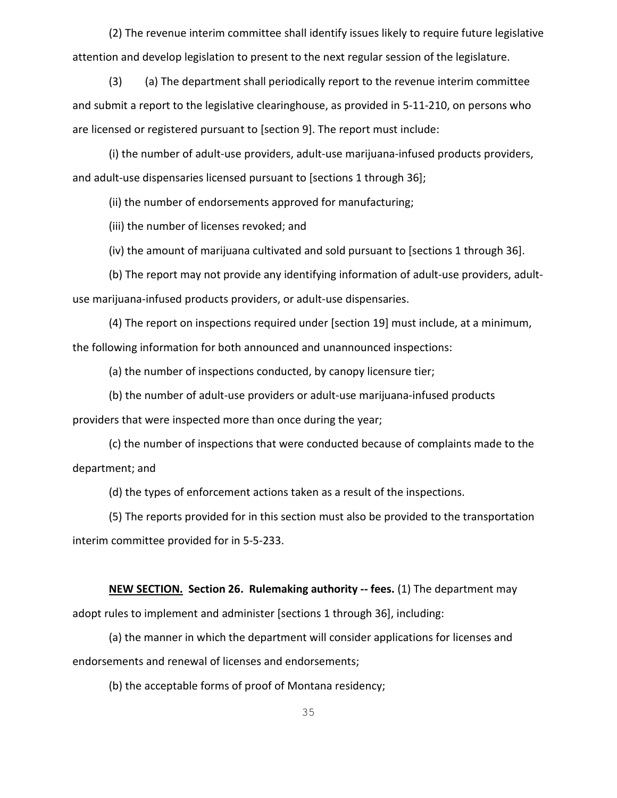(2) The revenue interim committee shall identify issues likely to require future legislative attention and develop legislation to present to the next regular session of the legislature.

(3) (a) The department shall periodically report to the revenue interim committee and submit a report to the legislative clearinghouse, as provided in 5-11-210, on persons who are licensed or registered pursuant to [section 9]. The report must include:

(i) the number of adult-use providers, adult-use marijuana-infused products providers, and adult-use dispensaries licensed pursuant to [sections 1 through 36];

(ii) the number of endorsements approved for manufacturing;

(iii) the number of licenses revoked; and

(iv) the amount of marijuana cultivated and sold pursuant to [sections 1 through 36].

(b) The report may not provide any identifying information of adult-use providers, adultuse marijuana-infused products providers, or adult-use dispensaries.

(4) The report on inspections required under [section 19] must include, at a minimum, the following information for both announced and unannounced inspections:

(a) the number of inspections conducted, by canopy licensure tier;

(b) the number of adult-use providers or adult-use marijuana-infused products

providers that were inspected more than once during the year;

(c) the number of inspections that were conducted because of complaints made to the department; and

(d) the types of enforcement actions taken as a result of the inspections.

(5) The reports provided for in this section must also be provided to the transportation interim committee provided for in 5-5-233.

**NEW SECTION. Section 26. Rulemaking authority -- fees.** (1) The department may adopt rules to implement and administer [sections 1 through 36], including:

(a) the manner in which the department will consider applications for licenses and endorsements and renewal of licenses and endorsements;

(b) the acceptable forms of proof of Montana residency;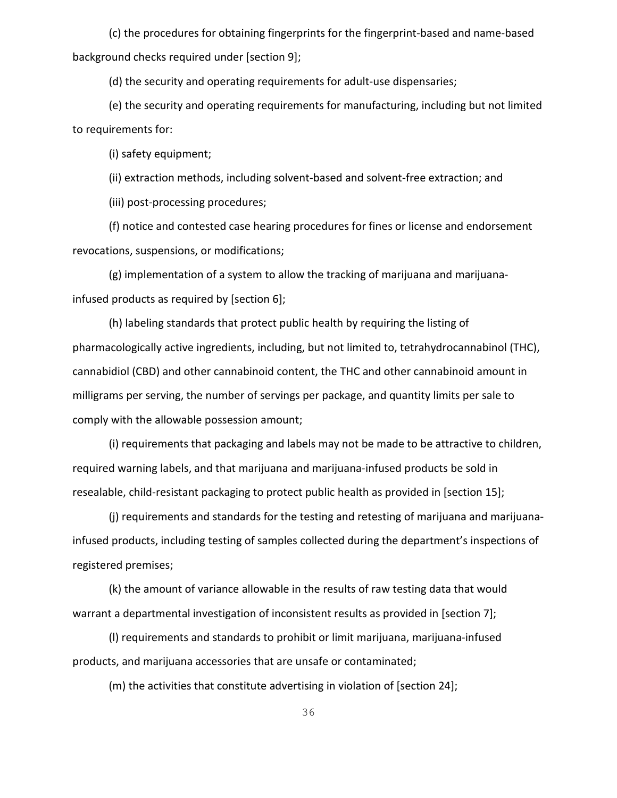(c) the procedures for obtaining fingerprints for the fingerprint-based and name-based background checks required under [section 9];

(d) the security and operating requirements for adult-use dispensaries;

(e) the security and operating requirements for manufacturing, including but not limited to requirements for:

(i) safety equipment;

(ii) extraction methods, including solvent-based and solvent-free extraction; and

(iii) post-processing procedures;

(f) notice and contested case hearing procedures for fines or license and endorsement revocations, suspensions, or modifications;

(g) implementation of a system to allow the tracking of marijuana and marijuanainfused products as required by [section 6];

(h) labeling standards that protect public health by requiring the listing of pharmacologically active ingredients, including, but not limited to, tetrahydrocannabinol (THC), cannabidiol (CBD) and other cannabinoid content, the THC and other cannabinoid amount in milligrams per serving, the number of servings per package, and quantity limits per sale to comply with the allowable possession amount;

(i) requirements that packaging and labels may not be made to be attractive to children, required warning labels, and that marijuana and marijuana-infused products be sold in resealable, child-resistant packaging to protect public health as provided in [section 15];

(j) requirements and standards for the testing and retesting of marijuana and marijuanainfused products, including testing of samples collected during the department's inspections of registered premises;

(k) the amount of variance allowable in the results of raw testing data that would warrant a departmental investigation of inconsistent results as provided in [section 7];

(l) requirements and standards to prohibit or limit marijuana, marijuana-infused products, and marijuana accessories that are unsafe or contaminated;

(m) the activities that constitute advertising in violation of [section 24];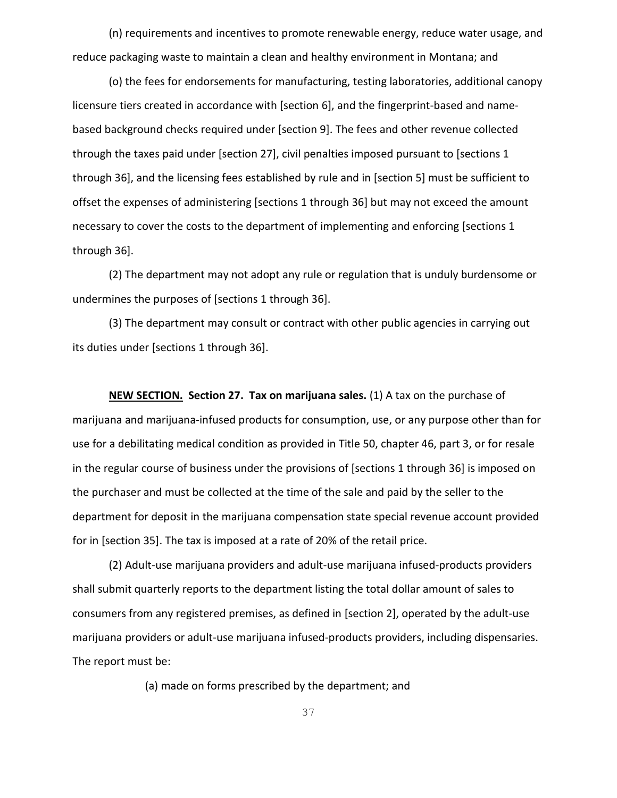(n) requirements and incentives to promote renewable energy, reduce water usage, and reduce packaging waste to maintain a clean and healthy environment in Montana; and

(o) the fees for endorsements for manufacturing, testing laboratories, additional canopy licensure tiers created in accordance with [section 6], and the fingerprint-based and namebased background checks required under [section 9]. The fees and other revenue collected through the taxes paid under [section 27], civil penalties imposed pursuant to [sections 1 through 36], and the licensing fees established by rule and in [section 5] must be sufficient to offset the expenses of administering [sections 1 through 36] but may not exceed the amount necessary to cover the costs to the department of implementing and enforcing [sections 1 through 36].

(2) The department may not adopt any rule or regulation that is unduly burdensome or undermines the purposes of [sections 1 through 36].

(3) The department may consult or contract with other public agencies in carrying out its duties under [sections 1 through 36].

**NEW SECTION. Section 27. Tax on marijuana sales.** (1) A tax on the purchase of marijuana and marijuana-infused products for consumption, use, or any purpose other than for use for a debilitating medical condition as provided in Title 50, chapter 46, part 3, or for resale in the regular course of business under the provisions of [sections 1 through 36] is imposed on the purchaser and must be collected at the time of the sale and paid by the seller to the department for deposit in the marijuana compensation state special revenue account provided for in [section 35]. The tax is imposed at a rate of 20% of the retail price.

(2) Adult-use marijuana providers and adult-use marijuana infused-products providers shall submit quarterly reports to the department listing the total dollar amount of sales to consumers from any registered premises, as defined in [section 2], operated by the adult-use marijuana providers or adult-use marijuana infused-products providers, including dispensaries. The report must be:

(a) made on forms prescribed by the department; and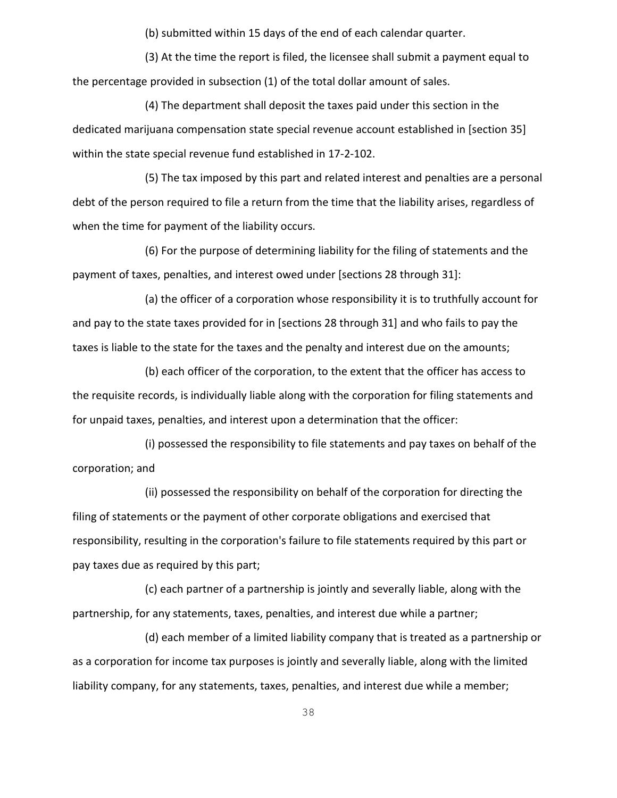(b) submitted within 15 days of the end of each calendar quarter.

(3) At the time the report is filed, the licensee shall submit a payment equal to the percentage provided in subsection (1) of the total dollar amount of sales.

(4) The department shall deposit the taxes paid under this section in the dedicated marijuana compensation state special revenue account established in [section 35] within the state special revenue fund established in 17-2-102.

(5) The tax imposed by this part and related interest and penalties are a personal debt of the person required to file a return from the time that the liability arises, regardless of when the time for payment of the liability occurs.

(6) For the purpose of determining liability for the filing of statements and the payment of taxes, penalties, and interest owed under [sections 28 through 31]:

(a) the officer of a corporation whose responsibility it is to truthfully account for and pay to the state taxes provided for in [sections 28 through 31] and who fails to pay the taxes is liable to the state for the taxes and the penalty and interest due on the amounts;

(b) each officer of the corporation, to the extent that the officer has access to the requisite records, is individually liable along with the corporation for filing statements and for unpaid taxes, penalties, and interest upon a determination that the officer:

(i) possessed the responsibility to file statements and pay taxes on behalf of the corporation; and

(ii) possessed the responsibility on behalf of the corporation for directing the filing of statements or the payment of other corporate obligations and exercised that responsibility, resulting in the corporation's failure to file statements required by this part or pay taxes due as required by this part;

(c) each partner of a partnership is jointly and severally liable, along with the partnership, for any statements, taxes, penalties, and interest due while a partner;

(d) each member of a limited liability company that is treated as a partnership or as a corporation for income tax purposes is jointly and severally liable, along with the limited liability company, for any statements, taxes, penalties, and interest due while a member;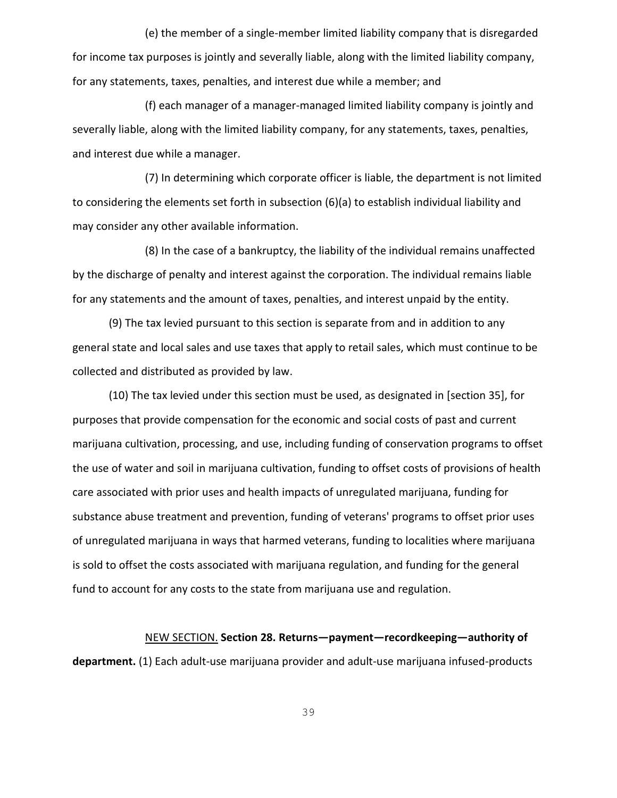(e) the member of a single-member limited liability company that is disregarded for income tax purposes is jointly and severally liable, along with the limited liability company, for any statements, taxes, penalties, and interest due while a member; and

(f) each manager of a manager-managed limited liability company is jointly and severally liable, along with the limited liability company, for any statements, taxes, penalties, and interest due while a manager.

(7) In determining which corporate officer is liable, the department is not limited to considering the elements set forth in subsection (6)(a) to establish individual liability and may consider any other available information.

(8) In the case of a bankruptcy, the liability of the individual remains unaffected by the discharge of penalty and interest against the corporation. The individual remains liable for any statements and the amount of taxes, penalties, and interest unpaid by the entity.

(9) The tax levied pursuant to this section is separate from and in addition to any general state and local sales and use taxes that apply to retail sales, which must continue to be collected and distributed as provided by law.

(10) The tax levied under this section must be used, as designated in [section 35], for purposes that provide compensation for the economic and social costs of past and current marijuana cultivation, processing, and use, including funding of conservation programs to offset the use of water and soil in marijuana cultivation, funding to offset costs of provisions of health care associated with prior uses and health impacts of unregulated marijuana, funding for substance abuse treatment and prevention, funding of veterans' programs to offset prior uses of unregulated marijuana in ways that harmed veterans, funding to localities where marijuana is sold to offset the costs associated with marijuana regulation, and funding for the general fund to account for any costs to the state from marijuana use and regulation.

NEW SECTION. **Section 28. Returns—payment—recordkeeping—authority of department.** (1) Each adult-use marijuana provider and adult-use marijuana infused-products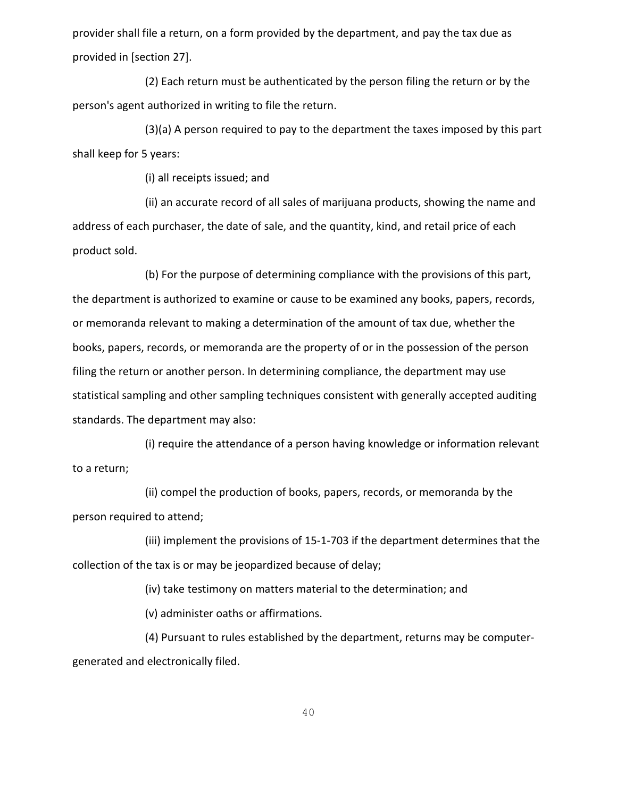provider shall file a return, on a form provided by the department, and pay the tax due as provided in [section 27].

(2) Each return must be authenticated by the person filing the return or by the person's agent authorized in writing to file the return.

(3)(a) A person required to pay to the department the taxes imposed by this part shall keep for 5 years:

(i) all receipts issued; and

(ii) an accurate record of all sales of marijuana products, showing the name and address of each purchaser, the date of sale, and the quantity, kind, and retail price of each product sold.

(b) For the purpose of determining compliance with the provisions of this part, the department is authorized to examine or cause to be examined any books, papers, records, or memoranda relevant to making a determination of the amount of tax due, whether the books, papers, records, or memoranda are the property of or in the possession of the person filing the return or another person. In determining compliance, the department may use statistical sampling and other sampling techniques consistent with generally accepted auditing standards. The department may also:

(i) require the attendance of a person having knowledge or information relevant to a return;

(ii) compel the production of books, papers, records, or memoranda by the person required to attend;

(iii) implement the provisions of [15-1-703](https://1.next.westlaw.com/Link/Document/FullText?findType=L&pubNum=1002018&cite=MTST15-1-703&originatingDoc=N7DE2FAB05CDB11E7B505AC77B1646E6B&refType=LQ&originationContext=document&transitionType=DocumentItem&contextData=(sc.Category)) if the department determines that the collection of the tax is or may be jeopardized because of delay;

(iv) take testimony on matters material to the determination; and

(v) administer oaths or affirmations.

(4) Pursuant to rules established by the department, returns may be computergenerated and electronically filed.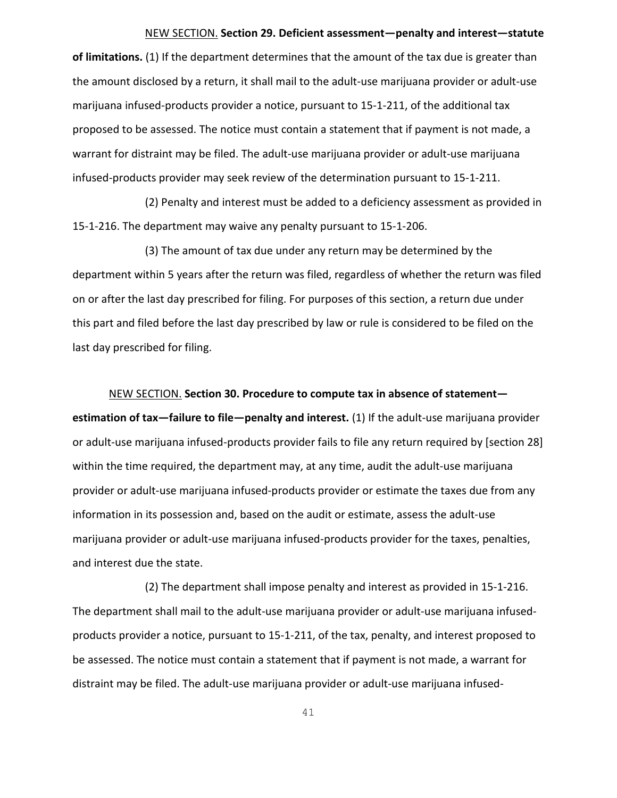# NEW SECTION. **Section 29. Deficient assessment—penalty and interest—statute**

**of limitations.** (1) If the department determines that the amount of the tax due is greater than the amount disclosed by a return, it shall mail to the adult-use marijuana provider or adult-use marijuana infused-products provider a notice, pursuant to 15-1-211, of the additional tax proposed to be assessed. The notice must contain a statement that if payment is not made, a warrant for distraint may be filed. The adult-use marijuana provider or adult-use marijuana infused-products provider may seek review of the determination pursuant to [15-1-211.](https://1.next.westlaw.com/Link/Document/FullText?findType=L&pubNum=1002018&cite=MTST15-1-211&originatingDoc=N7E73A1F05CDB11E7983AEAA12C9A2F99&refType=LQ&originationContext=document&transitionType=DocumentItem&contextData=(sc.Category))

(2) Penalty and interest must be added to a deficiency assessment as provided in [15-1-216.](https://1.next.westlaw.com/Link/Document/FullText?findType=L&pubNum=1002018&cite=MTST15-1-216&originatingDoc=N7E73A1F05CDB11E7983AEAA12C9A2F99&refType=LQ&originationContext=document&transitionType=DocumentItem&contextData=(sc.Category)) The department may waive any penalty pursuant to [15-1-206.](https://1.next.westlaw.com/Link/Document/FullText?findType=L&pubNum=1002018&cite=MTST15-1-206&originatingDoc=N7E73A1F05CDB11E7983AEAA12C9A2F99&refType=LQ&originationContext=document&transitionType=DocumentItem&contextData=(sc.Category))

(3) The amount of tax due under any return may be determined by the department within 5 years after the return was filed, regardless of whether the return was filed on or after the last day prescribed for filing. For purposes of this section, a return due under this part and filed before the last day prescribed by law or rule is considered to be filed on the last day prescribed for filing.

NEW SECTION. **Section 30. Procedure to compute tax in absence of statement estimation of tax—failure to file—penalty and interest.** (1) If the adult-use marijuana provider or adult-use marijuana infused-products provider fails to file any return required by [section 28] within the time required, the department may, at any time, audit the adult-use marijuana provider or adult-use marijuana infused-products provider or estimate the taxes due from any information in its possession and, based on the audit or estimate, assess the adult-use marijuana provider or adult-use marijuana infused-products provider for the taxes, penalties, and interest due the state.

(2) The department shall impose penalty and interest as provided in [15-1-216.](https://1.next.westlaw.com/Link/Document/FullText?findType=L&pubNum=1002018&cite=MTST15-1-216&originatingDoc=N7CB529105CDB11E7B517FE18F210CDFA&refType=LQ&originationContext=document&transitionType=DocumentItem&contextData=(sc.Category)) The department shall mail to the adult-use marijuana provider or adult-use marijuana infusedproducts provider a notice, pursuant to 15-1-211, of the tax, penalty, and interest proposed to be assessed. The notice must contain a statement that if payment is not made, a warrant for distraint may be filed. The adult-use marijuana provider or adult-use marijuana infused-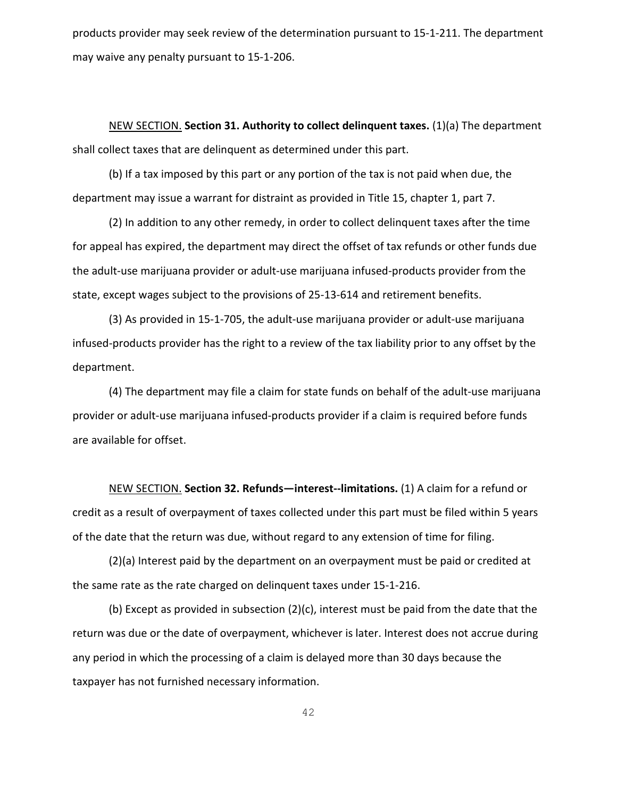products provider may seek review of the determination pursuant to [15-1-211.](https://1.next.westlaw.com/Link/Document/FullText?findType=L&pubNum=1002018&cite=MTST15-1-211&originatingDoc=N7CB529105CDB11E7B517FE18F210CDFA&refType=LQ&originationContext=document&transitionType=DocumentItem&contextData=(sc.Category)) The department may waive any penalty pursuant t[o 15-1-206.](https://1.next.westlaw.com/Link/Document/FullText?findType=L&pubNum=1002018&cite=MTST15-1-206&originatingDoc=N7CB529105CDB11E7B517FE18F210CDFA&refType=LQ&originationContext=document&transitionType=DocumentItem&contextData=(sc.Category))

NEW SECTION. **Section 31. Authority to collect delinquent taxes.** (1)(a) The department shall collect taxes that are delinquent as determined under this part.

(b) If a tax imposed by this part or any portion of the tax is not paid when due, the department may issue a warrant for distraint as provided in Title 15, chapter 1, part 7.

(2) In addition to any other remedy, in order to collect delinquent taxes after the time for appeal has expired, the department may direct the offset of tax refunds or other funds due the adult-use marijuana provider or adult-use marijuana infused-products provider from the state, except wages subject to the provisions of [25-13-614](https://1.next.westlaw.com/Link/Document/FullText?findType=L&pubNum=1002018&cite=MTST25-13-614&originatingDoc=N7E52D3805CDB11E7983AEAA12C9A2F99&refType=LQ&originationContext=document&transitionType=DocumentItem&contextData=(sc.Category)) and retirement benefits.

(3) As provided in [15-1-705,](https://1.next.westlaw.com/Link/Document/FullText?findType=L&pubNum=1002018&cite=MTST15-1-705&originatingDoc=N7E52D3805CDB11E7983AEAA12C9A2F99&refType=LQ&originationContext=document&transitionType=DocumentItem&contextData=(sc.Category)) the adult-use marijuana provider or adult-use marijuana infused-products provider has the right to a review of the tax liability prior to any offset by the department.

(4) The department may file a claim for state funds on behalf of the adult-use marijuana provider or adult-use marijuana infused-products provider if a claim is required before funds are available for offset.

NEW SECTION. **Section 32. Refunds—interest--limitations.** (1) A claim for a refund or credit as a result of overpayment of taxes collected under this part must be filed within 5 years of the date that the return was due, without regard to any extension of time for filing.

(2)(a) Interest paid by the department on an overpayment must be paid or credited at the same rate as the rate charged on delinquent taxes under [15-1-216.](https://1.next.westlaw.com/Link/Document/FullText?findType=L&pubNum=1002018&cite=MTST15-1-216&originatingDoc=N7E09BC905CDB11E7BC2A8A3F8E4CE19C&refType=LQ&originationContext=document&transitionType=DocumentItem&contextData=(sc.Category))

(b) Except as provided in subsection (2)(c), interest must be paid from the date that the return was due or the date of overpayment, whichever is later. Interest does not accrue during any period in which the processing of a claim is delayed more than 30 days because the taxpayer has not furnished necessary information.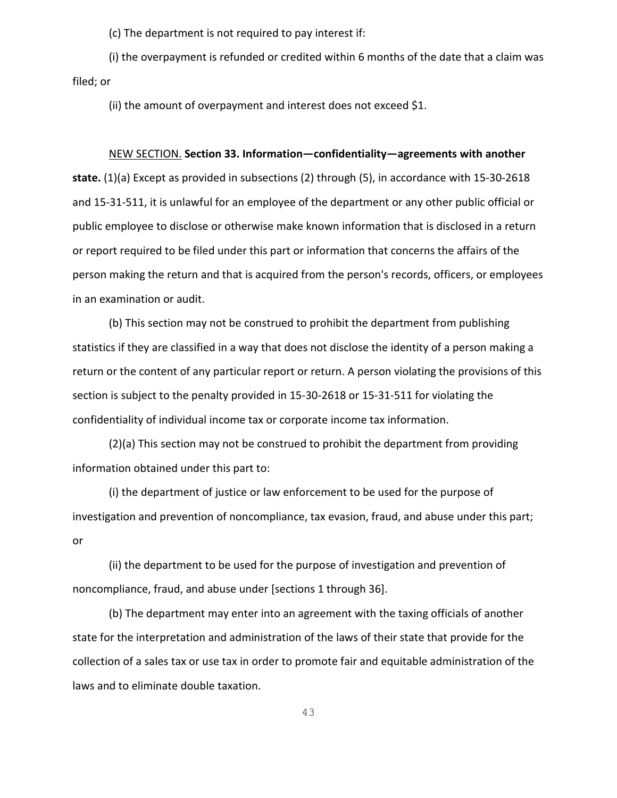(c) The department is not required to pay interest if:

(i) the overpayment is refunded or credited within 6 months of the date that a claim was filed; or

(ii) the amount of overpayment and interest does not exceed \$1.

#### NEW SECTION. **Section 33. Information—confidentiality—agreements with another**

**state.** (1)(a) Except as provided in subsections (2) through (5), in accordance with [15-30-2618](https://1.next.westlaw.com/Link/Document/FullText?findType=L&pubNum=1002018&cite=MTST15-30-2618&originatingDoc=N7C6EF8505CDB11E799458F015F55AD97&refType=LQ&originationContext=document&transitionType=DocumentItem&contextData=(sc.Category)) and [15-31-511,](https://1.next.westlaw.com/Link/Document/FullText?findType=L&pubNum=1002018&cite=MTST15-31-511&originatingDoc=N7C6EF8505CDB11E799458F015F55AD97&refType=LQ&originationContext=document&transitionType=DocumentItem&contextData=(sc.Category)) it is unlawful for an employee of the department or any other public official or public employee to disclose or otherwise make known information that is disclosed in a return or report required to be filed under this part or information that concerns the affairs of the person making the return and that is acquired from the person's records, officers, or employees in an examination or audit.

(b) This section may not be construed to prohibit the department from publishing statistics if they are classified in a way that does not disclose the identity of a person making a return or the content of any particular report or return. A person violating the provisions of this section is subject to the penalty provided in [15-30-2618](https://1.next.westlaw.com/Link/Document/FullText?findType=L&pubNum=1002018&cite=MTST15-30-2618&originatingDoc=N7C6EF8505CDB11E799458F015F55AD97&refType=LQ&originationContext=document&transitionType=DocumentItem&contextData=(sc.Category)) or [15-31-511](https://1.next.westlaw.com/Link/Document/FullText?findType=L&pubNum=1002018&cite=MTST15-31-511&originatingDoc=N7C6EF8505CDB11E799458F015F55AD97&refType=LQ&originationContext=document&transitionType=DocumentItem&contextData=(sc.Category)) for violating the confidentiality of individual income tax or corporate income tax information.

(2)(a) This section may not be construed to prohibit the department from providing information obtained under this part to:

(i) the department of justice or law enforcement to be used for the purpose of investigation and prevention of noncompliance, tax evasion, fraud, and abuse under this part; or

(ii) the department to be used for the purpose of investigation and prevention of noncompliance, fraud, and abuse under [sections 1 through 36].

(b) The department may enter into an agreement with the taxing officials of another state for the interpretation and administration of the laws of their state that provide for the collection of a sales tax or use tax in order to promote fair and equitable administration of the laws and to eliminate double taxation.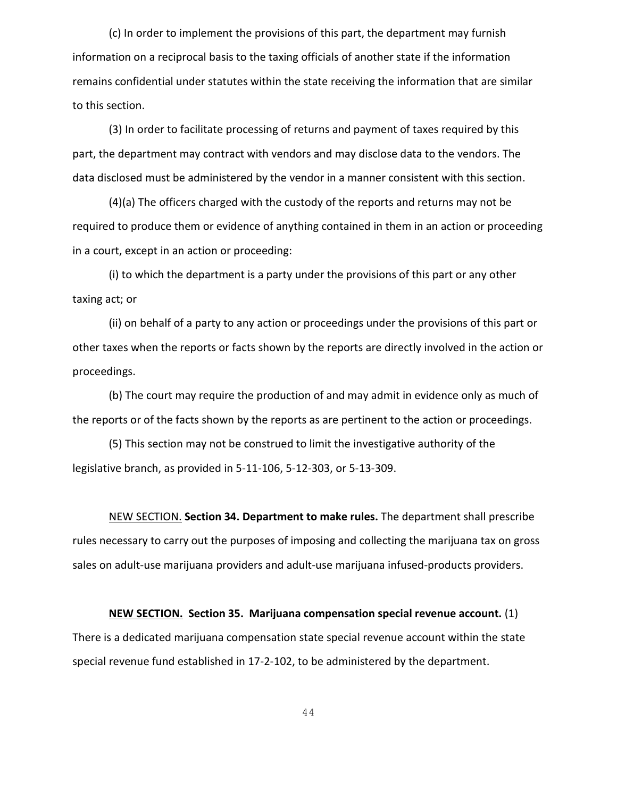(c) In order to implement the provisions of this part, the department may furnish information on a reciprocal basis to the taxing officials of another state if the information remains confidential under statutes within the state receiving the information that are similar to this section.

(3) In order to facilitate processing of returns and payment of taxes required by this part, the department may contract with vendors and may disclose data to the vendors. The data disclosed must be administered by the vendor in a manner consistent with this section.

(4)(a) The officers charged with the custody of the reports and returns may not be required to produce them or evidence of anything contained in them in an action or proceeding in a court, except in an action or proceeding:

(i) to which the department is a party under the provisions of this part or any other taxing act; or

(ii) on behalf of a party to any action or proceedings under the provisions of this part or other taxes when the reports or facts shown by the reports are directly involved in the action or proceedings.

(b) The court may require the production of and may admit in evidence only as much of the reports or of the facts shown by the reports as are pertinent to the action or proceedings.

(5) This section may not be construed to limit the investigative authority of the legislative branch, as provided in [5-11-106,](https://1.next.westlaw.com/Link/Document/FullText?findType=L&pubNum=1002018&cite=MTST5-11-106&originatingDoc=N7C6EF8505CDB11E799458F015F55AD97&refType=LQ&originationContext=document&transitionType=DocumentItem&contextData=(sc.Category)) [5-12-303,](https://1.next.westlaw.com/Link/Document/FullText?findType=L&pubNum=1002018&cite=MTST5-12-303&originatingDoc=N7C6EF8505CDB11E799458F015F55AD97&refType=LQ&originationContext=document&transitionType=DocumentItem&contextData=(sc.Category)) or [5-13-309.](https://1.next.westlaw.com/Link/Document/FullText?findType=L&pubNum=1002018&cite=MTST5-13-309&originatingDoc=N7C6EF8505CDB11E799458F015F55AD97&refType=LQ&originationContext=document&transitionType=DocumentItem&contextData=(sc.Category))

NEW SECTION. **Section 34. Department to make rules.** The department shall prescribe rules necessary to carry out the purposes of imposing and collecting the marijuana tax on gross sales on adult-use marijuana providers and adult-use marijuana infused-products providers.

**NEW SECTION. Section 35. Marijuana compensation special revenue account.** (1) There is a dedicated marijuana compensation state special revenue account within the state special revenue fund established in 17-2-102, to be administered by the department.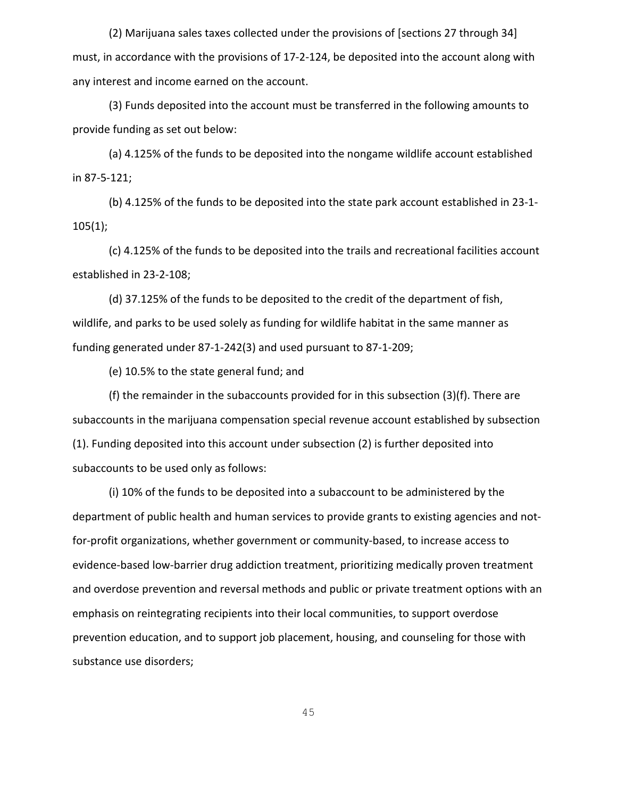(2) Marijuana sales taxes collected under the provisions of [sections 27 through 34] must, in accordance with the provisions of 17-2-124, be deposited into the account along with any interest and income earned on the account.

(3) Funds deposited into the account must be transferred in the following amounts to provide funding as set out below:

(a) 4.125% of the funds to be deposited into the nongame wildlife account established in 87-5-121;

(b) 4.125% of the funds to be deposited into the state park account established in 23-1- 105(1);

(c) 4.125% of the funds to be deposited into the trails and recreational facilities account established in 23-2-108;

(d) 37.125% of the funds to be deposited to the credit of the department of fish, wildlife, and parks to be used solely as funding for wildlife habitat in the same manner as funding generated under 87-1-242(3) and used pursuant to 87-1-209;

(e) 10.5% to the state general fund; and

(f) the remainder in the subaccounts provided for in this subsection (3)(f). There are subaccounts in the marijuana compensation special revenue account established by subsection (1). Funding deposited into this account under subsection (2) is further deposited into subaccounts to be used only as follows:

(i) 10% of the funds to be deposited into a subaccount to be administered by the department of public health and human services to provide grants to existing agencies and notfor-profit organizations, whether government or community-based, to increase access to evidence-based low-barrier drug addiction treatment, prioritizing medically proven treatment and overdose prevention and reversal methods and public or private treatment options with an emphasis on reintegrating recipients into their local communities, to support overdose prevention education, and to support job placement, housing, and counseling for those with substance use disorders;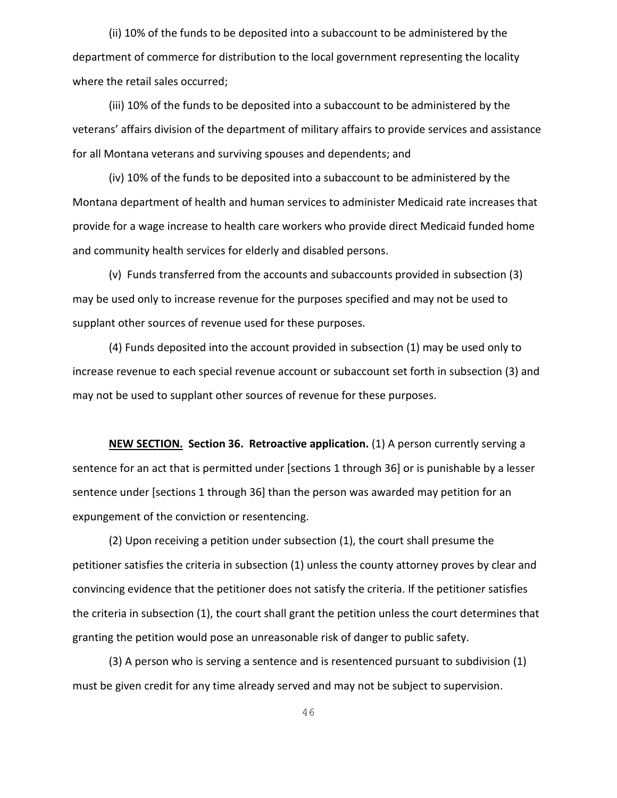(ii) 10% of the funds to be deposited into a subaccount to be administered by the department of commerce for distribution to the local government representing the locality where the retail sales occurred;

(iii) 10% of the funds to be deposited into a subaccount to be administered by the veterans' affairs division of the department of military affairs to provide services and assistance for all Montana veterans and surviving spouses and dependents; and

(iv) 10% of the funds to be deposited into a subaccount to be administered by the Montana department of health and human services to administer Medicaid rate increases that provide for a wage increase to health care workers who provide direct Medicaid funded home and community health services for elderly and disabled persons.

(v) Funds transferred from the accounts and subaccounts provided in subsection (3) may be used only to increase revenue for the purposes specified and may not be used to supplant other sources of revenue used for these purposes.

(4) Funds deposited into the account provided in subsection (1) may be used only to increase revenue to each special revenue account or subaccount set forth in subsection (3) and may not be used to supplant other sources of revenue for these purposes.

**NEW SECTION. Section 36. Retroactive application.** (1) A person currently serving a sentence for an act that is permitted under [sections 1 through 36] or is punishable by a lesser sentence under [sections 1 through 36] than the person was awarded may petition for an expungement of the conviction or resentencing.

(2) Upon receiving a petition under subsection (1), the court shall presume the petitioner satisfies the criteria in subsection (1) unless the county attorney proves by clear and convincing evidence that the petitioner does not satisfy the criteria. If the petitioner satisfies the criteria in subsection (1), the court shall grant the petition unless the court determines that granting the petition would pose an unreasonable risk of danger to public safety.

(3) A person who is serving a sentence and is resentenced pursuant to subdivision (1) must be given credit for any time already served and may not be subject to supervision.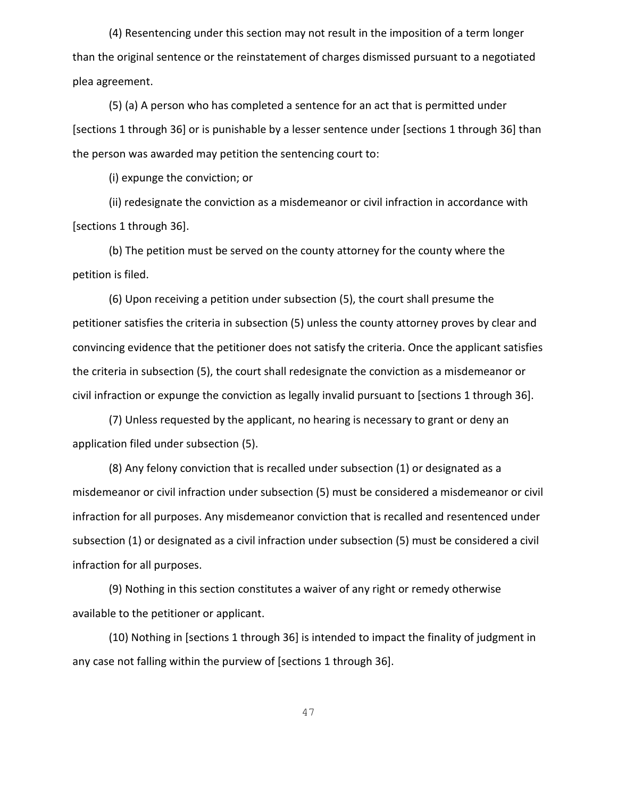(4) Resentencing under this section may not result in the imposition of a term longer than the original sentence or the reinstatement of charges dismissed pursuant to a negotiated plea agreement.

(5) (a) A person who has completed a sentence for an act that is permitted under [sections 1 through 36] or is punishable by a lesser sentence under [sections 1 through 36] than the person was awarded may petition the sentencing court to:

(i) expunge the conviction; or

(ii) redesignate the conviction as a misdemeanor or civil infraction in accordance with [sections 1 through 36].

(b) The petition must be served on the county attorney for the county where the petition is filed.

(6) Upon receiving a petition under subsection (5), the court shall presume the petitioner satisfies the criteria in subsection (5) unless the county attorney proves by clear and convincing evidence that the petitioner does not satisfy the criteria. Once the applicant satisfies the criteria in subsection (5), the court shall redesignate the conviction as a misdemeanor or civil infraction or expunge the conviction as legally invalid pursuant to [sections 1 through 36].

(7) Unless requested by the applicant, no hearing is necessary to grant or deny an application filed under subsection (5).

(8) Any felony conviction that is recalled under subsection (1) or designated as a misdemeanor or civil infraction under subsection (5) must be considered a misdemeanor or civil infraction for all purposes. Any misdemeanor conviction that is recalled and resentenced under subsection (1) or designated as a civil infraction under subsection (5) must be considered a civil infraction for all purposes.

(9) Nothing in this section constitutes a waiver of any right or remedy otherwise available to the petitioner or applicant.

(10) Nothing in [sections 1 through 36] is intended to impact the finality of judgment in any case not falling within the purview of [sections 1 through 36].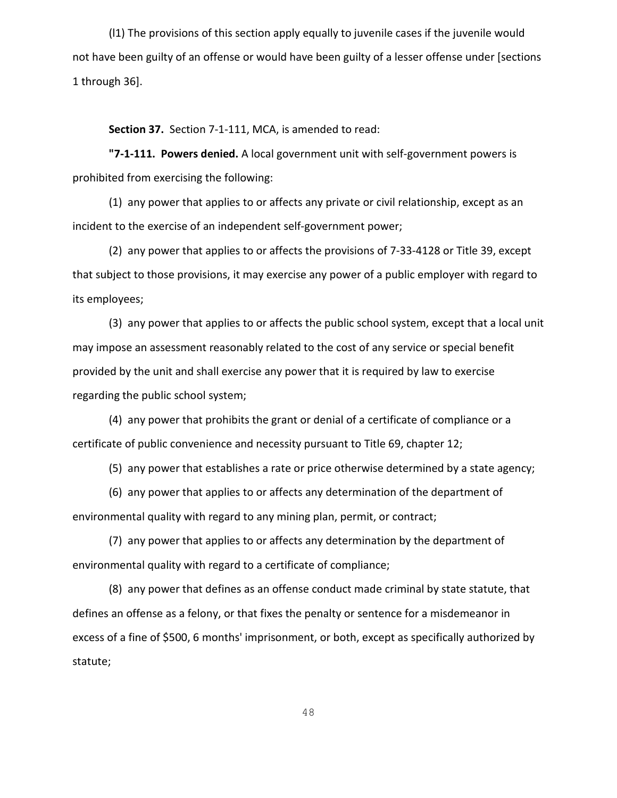(l1) The provisions of this section apply equally to juvenile cases if the juvenile would not have been guilty of an offense or would have been guilty of a lesser offense under [sections 1 through 36].

**Section 37.** Section 7-1-111, MCA, is amended to read:

**"7-1-111. Powers denied.** A local government unit with self-government powers is prohibited from exercising the following:

(1) any power that applies to or affects any private or civil relationship, except as an incident to the exercise of an independent self-government power;

(2) any power that applies to or affects the provisions of 7-33-4128 or Title 39, except that subject to those provisions, it may exercise any power of a public employer with regard to its employees;

(3) any power that applies to or affects the public school system, except that a local unit may impose an assessment reasonably related to the cost of any service or special benefit provided by the unit and shall exercise any power that it is required by law to exercise regarding the public school system;

(4) any power that prohibits the grant or denial of a certificate of compliance or a certificate of public convenience and necessity pursuant to Title 69, chapter 12;

(5) any power that establishes a rate or price otherwise determined by a state agency;

(6) any power that applies to or affects any determination of the department of environmental quality with regard to any mining plan, permit, or contract;

(7) any power that applies to or affects any determination by the department of environmental quality with regard to a certificate of compliance;

(8) any power that defines as an offense conduct made criminal by state statute, that defines an offense as a felony, or that fixes the penalty or sentence for a misdemeanor in excess of a fine of \$500, 6 months' imprisonment, or both, except as specifically authorized by statute;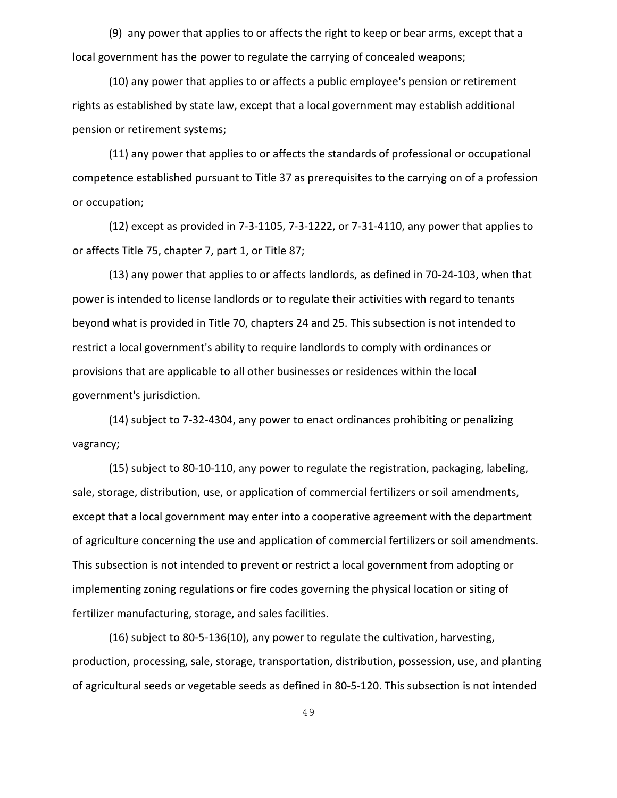(9) any power that applies to or affects the right to keep or bear arms, except that a local government has the power to regulate the carrying of concealed weapons;

(10) any power that applies to or affects a public employee's pension or retirement rights as established by state law, except that a local government may establish additional pension or retirement systems;

(11) any power that applies to or affects the standards of professional or occupational competence established pursuant to Title 37 as prerequisites to the carrying on of a profession or occupation;

(12) except as provided in 7-3-1105, 7-3-1222, or 7-31-4110, any power that applies to or affects Title 75, chapter 7, part 1, or Title 87;

(13) any power that applies to or affects landlords, as defined in 70-24-103, when that power is intended to license landlords or to regulate their activities with regard to tenants beyond what is provided in Title 70, chapters 24 and 25. This subsection is not intended to restrict a local government's ability to require landlords to comply with ordinances or provisions that are applicable to all other businesses or residences within the local government's jurisdiction.

(14) subject to 7-32-4304, any power to enact ordinances prohibiting or penalizing vagrancy;

(15) subject to 80-10-110, any power to regulate the registration, packaging, labeling, sale, storage, distribution, use, or application of commercial fertilizers or soil amendments, except that a local government may enter into a cooperative agreement with the department of agriculture concerning the use and application of commercial fertilizers or soil amendments. This subsection is not intended to prevent or restrict a local government from adopting or implementing zoning regulations or fire codes governing the physical location or siting of fertilizer manufacturing, storage, and sales facilities.

(16) subject to 80-5-136(10), any power to regulate the cultivation, harvesting, production, processing, sale, storage, transportation, distribution, possession, use, and planting of agricultural seeds or vegetable seeds as defined in 80-5-120. This subsection is not intended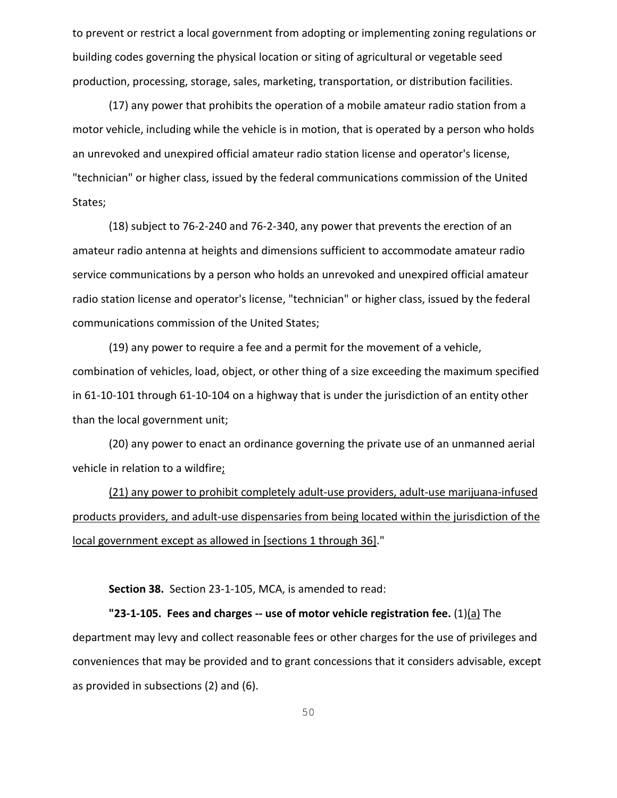to prevent or restrict a local government from adopting or implementing zoning regulations or building codes governing the physical location or siting of agricultural or vegetable seed production, processing, storage, sales, marketing, transportation, or distribution facilities.

(17) any power that prohibits the operation of a mobile amateur radio station from a motor vehicle, including while the vehicle is in motion, that is operated by a person who holds an unrevoked and unexpired official amateur radio station license and operator's license, "technician" or higher class, issued by the federal communications commission of the United States;

(18) subject to 76-2-240 and 76-2-340, any power that prevents the erection of an amateur radio antenna at heights and dimensions sufficient to accommodate amateur radio service communications by a person who holds an unrevoked and unexpired official amateur radio station license and operator's license, "technician" or higher class, issued by the federal communications commission of the United States;

(19) any power to require a fee and a permit for the movement of a vehicle, combination of vehicles, load, object, or other thing of a size exceeding the maximum specified in 61-10-101 through 61-10-104 on a highway that is under the jurisdiction of an entity other than the local government unit;

(20) any power to enact an ordinance governing the private use of an unmanned aerial vehicle in relation to a wildfire;

(21) any power to prohibit completely adult-use providers, adult-use marijuana-infused products providers, and adult-use dispensaries from being located within the jurisdiction of the local government except as allowed in [sections 1 through 36]."

**Section 38.** Section 23-1-105, MCA, is amended to read:

**"23-1-105. Fees and charges -- use of motor vehicle registration fee.** (1)(a) The department may levy and collect reasonable fees or other charges for the use of privileges and conveniences that may be provided and to grant concessions that it considers advisable, except as provided in subsections (2) and (6).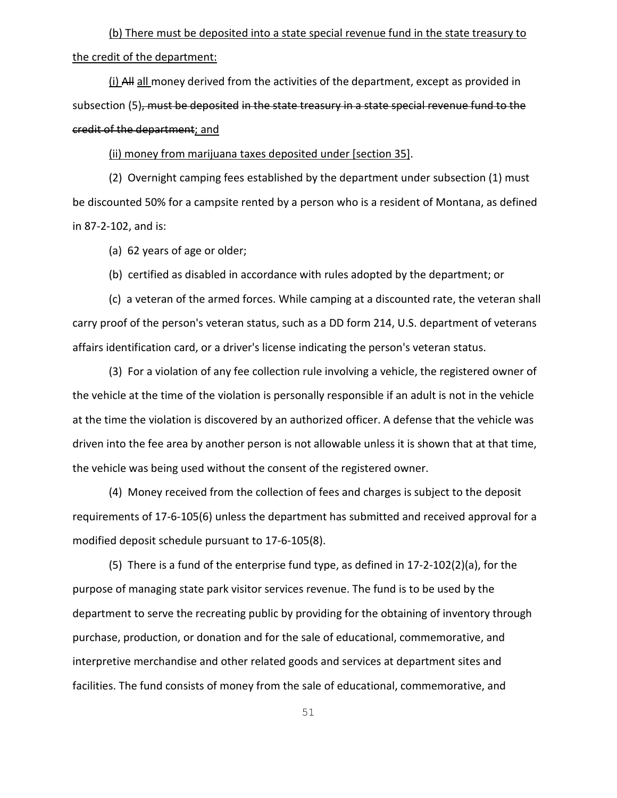(b) There must be deposited into a state special revenue fund in the state treasury to the credit of the department:

 $(i)$  All all money derived from the activities of the department, except as provided in subsection (5), must be deposited in the state treasury in a state special revenue fund to the credit of the department; and

(ii) money from marijuana taxes deposited under [section 35].

(2) Overnight camping fees established by the department under subsection (1) must be discounted 50% for a campsite rented by a person who is a resident of Montana, as defined in 87-2-102, and is:

(a) 62 years of age or older;

(b) certified as disabled in accordance with rules adopted by the department; or

(c) a veteran of the armed forces. While camping at a discounted rate, the veteran shall carry proof of the person's veteran status, such as a DD form 214, U.S. department of veterans affairs identification card, or a driver's license indicating the person's veteran status.

(3) For a violation of any fee collection rule involving a vehicle, the registered owner of the vehicle at the time of the violation is personally responsible if an adult is not in the vehicle at the time the violation is discovered by an authorized officer. A defense that the vehicle was driven into the fee area by another person is not allowable unless it is shown that at that time, the vehicle was being used without the consent of the registered owner.

(4) Money received from the collection of fees and charges is subject to the deposit requirements of 17-6-105(6) unless the department has submitted and received approval for a modified deposit schedule pursuant to 17-6-105(8).

(5) There is a fund of the enterprise fund type, as defined in 17-2-102(2)(a), for the purpose of managing state park visitor services revenue. The fund is to be used by the department to serve the recreating public by providing for the obtaining of inventory through purchase, production, or donation and for the sale of educational, commemorative, and interpretive merchandise and other related goods and services at department sites and facilities. The fund consists of money from the sale of educational, commemorative, and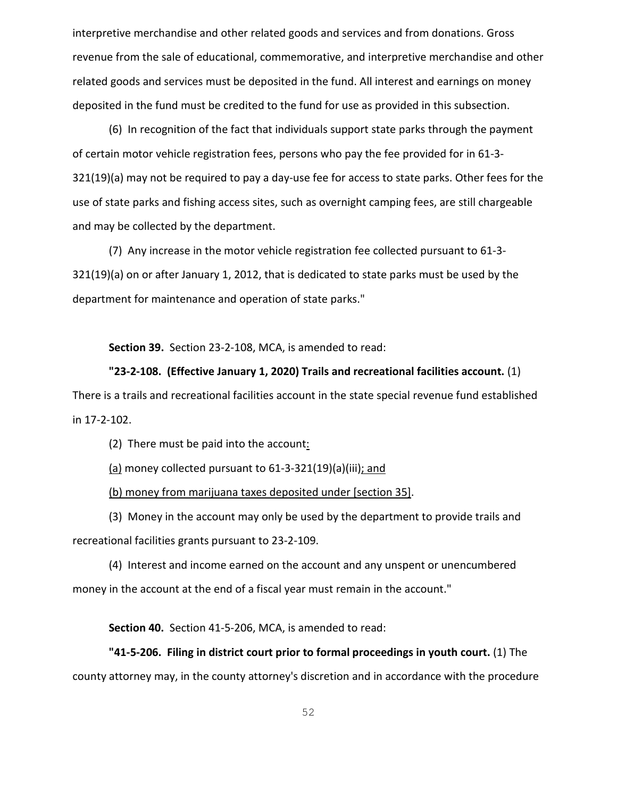interpretive merchandise and other related goods and services and from donations. Gross revenue from the sale of educational, commemorative, and interpretive merchandise and other related goods and services must be deposited in the fund. All interest and earnings on money deposited in the fund must be credited to the fund for use as provided in this subsection.

(6) In recognition of the fact that individuals support state parks through the payment of certain motor vehicle registration fees, persons who pay the fee provided for in 61-3- 321(19)(a) may not be required to pay a day-use fee for access to state parks. Other fees for the use of state parks and fishing access sites, such as overnight camping fees, are still chargeable and may be collected by the department.

(7) Any increase in the motor vehicle registration fee collected pursuant to 61-3- 321(19)(a) on or after January 1, 2012, that is dedicated to state parks must be used by the department for maintenance and operation of state parks."

**Section 39.** Section 23-2-108, MCA, is amended to read:

#### **"23-2-108. (Effective January 1, 2020) Trails and recreational facilities account.** (1)

There is a trails and recreational facilities account in the state special revenue fund established in 17-2-102.

(2) There must be paid into the account:

 $(a)$  money collected pursuant to 61-3-321(19)(a)(iii); and

(b) money from marijuana taxes deposited under [section 35].

(3) Money in the account may only be used by the department to provide trails and recreational facilities grants pursuant to 23-2-109.

(4) Interest and income earned on the account and any unspent or unencumbered money in the account at the end of a fiscal year must remain in the account."

**Section 40.** Section 41-5-206, MCA, is amended to read:

**"41-5-206. Filing in district court prior to formal proceedings in youth court.** (1) The county attorney may, in the county attorney's discretion and in accordance with the procedure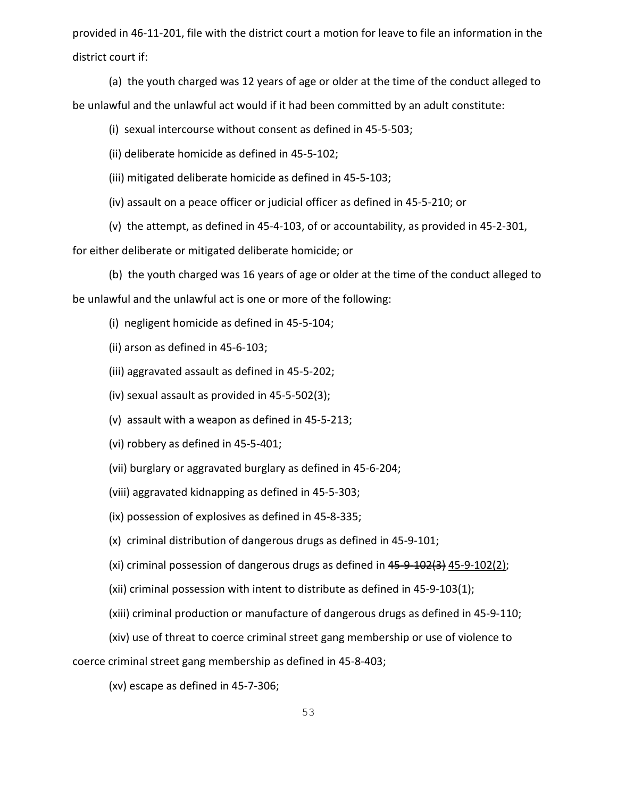provided in 46-11-201, file with the district court a motion for leave to file an information in the district court if:

(a) the youth charged was 12 years of age or older at the time of the conduct alleged to be unlawful and the unlawful act would if it had been committed by an adult constitute:

(i) sexual intercourse without consent as defined in 45-5-503;

(ii) deliberate homicide as defined in 45-5-102;

(iii) mitigated deliberate homicide as defined in 45-5-103;

(iv) assault on a peace officer or judicial officer as defined in 45-5-210; or

(v) the attempt, as defined in 45-4-103, of or accountability, as provided in 45-2-301,

for either deliberate or mitigated deliberate homicide; or

(b) the youth charged was 16 years of age or older at the time of the conduct alleged to be unlawful and the unlawful act is one or more of the following:

(i) negligent homicide as defined in 45-5-104;

(ii) arson as defined in 45-6-103;

(iii) aggravated assault as defined in 45-5-202;

(iv) sexual assault as provided in 45-5-502(3);

(v) assault with a weapon as defined in 45-5-213;

(vi) robbery as defined in 45-5-401;

(vii) burglary or aggravated burglary as defined in 45-6-204;

(viii) aggravated kidnapping as defined in 45-5-303;

(ix) possession of explosives as defined in 45-8-335;

(x) criminal distribution of dangerous drugs as defined in 45-9-101;

(xi) criminal possession of dangerous drugs as defined in  $45-9-102(3)$   $45-9-102(2)$ ;

(xii) criminal possession with intent to distribute as defined in 45-9-103(1);

(xiii) criminal production or manufacture of dangerous drugs as defined in 45-9-110;

(xiv) use of threat to coerce criminal street gang membership or use of violence to

coerce criminal street gang membership as defined in 45-8-403;

(xv) escape as defined in 45-7-306;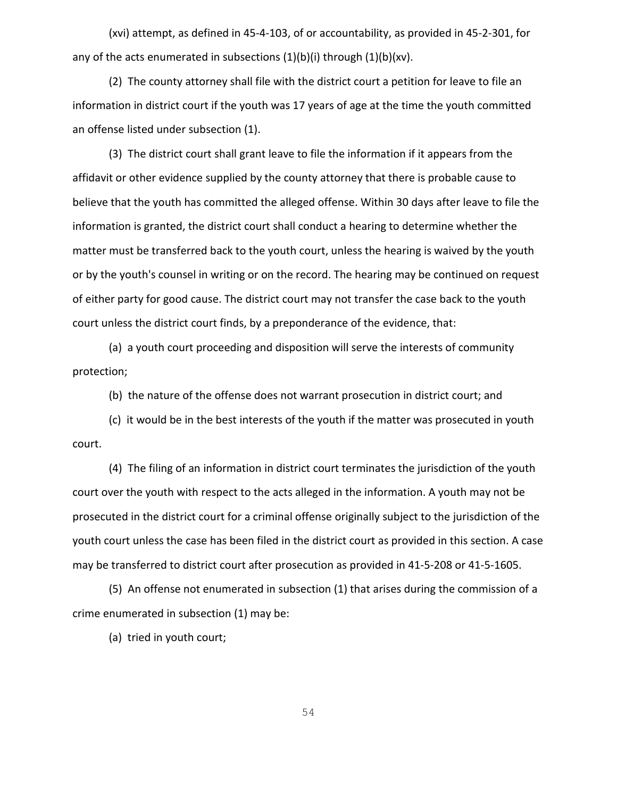(xvi) attempt, as defined in 45-4-103, of or accountability, as provided in 45-2-301, for any of the acts enumerated in subsections  $(1)(b)(i)$  through  $(1)(b)(xv)$ .

(2) The county attorney shall file with the district court a petition for leave to file an information in district court if the youth was 17 years of age at the time the youth committed an offense listed under subsection (1).

(3) The district court shall grant leave to file the information if it appears from the affidavit or other evidence supplied by the county attorney that there is probable cause to believe that the youth has committed the alleged offense. Within 30 days after leave to file the information is granted, the district court shall conduct a hearing to determine whether the matter must be transferred back to the youth court, unless the hearing is waived by the youth or by the youth's counsel in writing or on the record. The hearing may be continued on request of either party for good cause. The district court may not transfer the case back to the youth court unless the district court finds, by a preponderance of the evidence, that:

(a) a youth court proceeding and disposition will serve the interests of community protection;

(b) the nature of the offense does not warrant prosecution in district court; and

(c) it would be in the best interests of the youth if the matter was prosecuted in youth court.

(4) The filing of an information in district court terminates the jurisdiction of the youth court over the youth with respect to the acts alleged in the information. A youth may not be prosecuted in the district court for a criminal offense originally subject to the jurisdiction of the youth court unless the case has been filed in the district court as provided in this section. A case may be transferred to district court after prosecution as provided in 41-5-208 or 41-5-1605.

(5) An offense not enumerated in subsection (1) that arises during the commission of a crime enumerated in subsection (1) may be:

(a) tried in youth court;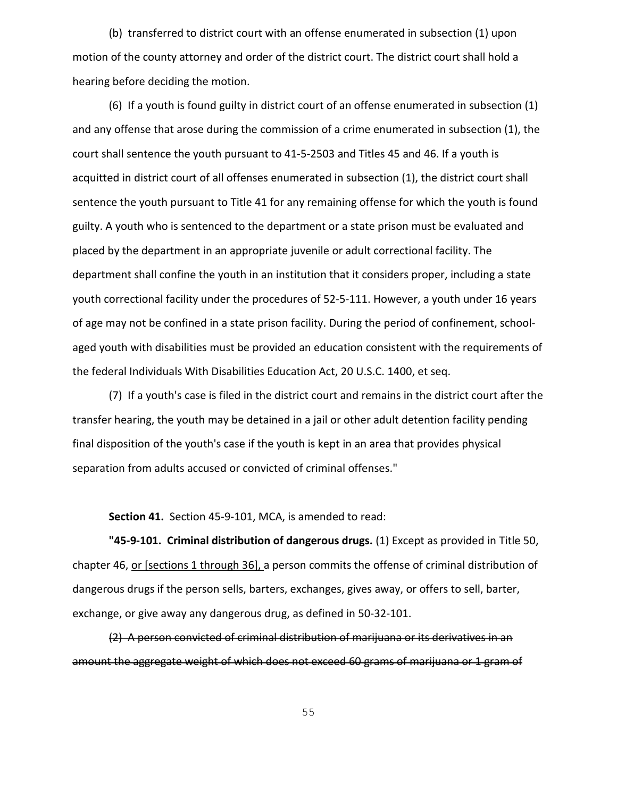(b) transferred to district court with an offense enumerated in subsection (1) upon motion of the county attorney and order of the district court. The district court shall hold a hearing before deciding the motion.

(6) If a youth is found guilty in district court of an offense enumerated in subsection (1) and any offense that arose during the commission of a crime enumerated in subsection (1), the court shall sentence the youth pursuant to 41-5-2503 and Titles 45 and 46. If a youth is acquitted in district court of all offenses enumerated in subsection (1), the district court shall sentence the youth pursuant to Title 41 for any remaining offense for which the youth is found guilty. A youth who is sentenced to the department or a state prison must be evaluated and placed by the department in an appropriate juvenile or adult correctional facility. The department shall confine the youth in an institution that it considers proper, including a state youth correctional facility under the procedures of 52-5-111. However, a youth under 16 years of age may not be confined in a state prison facility. During the period of confinement, schoolaged youth with disabilities must be provided an education consistent with the requirements of the federal Individuals With Disabilities Education Act, 20 U.S.C. 1400, et seq.

(7) If a youth's case is filed in the district court and remains in the district court after the transfer hearing, the youth may be detained in a jail or other adult detention facility pending final disposition of the youth's case if the youth is kept in an area that provides physical separation from adults accused or convicted of criminal offenses."

**Section 41.** Section 45-9-101, MCA, is amended to read:

**"45-9-101. Criminal distribution of dangerous drugs.** (1) Except as provided in Title 50, chapter 46, or [sections 1 through 36], a person commits the offense of criminal distribution of dangerous drugs if the person sells, barters, exchanges, gives away, or offers to sell, barter, exchange, or give away any dangerous drug, as defined in 50-32-101.

(2) A person convicted of criminal distribution of marijuana or its derivatives in an amount the aggregate weight of which does not exceed 60 grams of marijuana or 1 gram of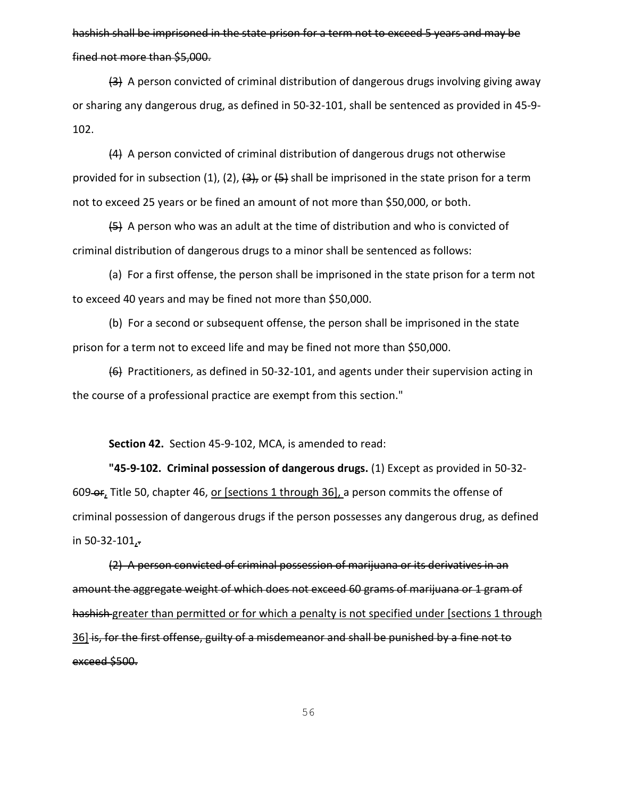# hashish shall be imprisoned in the state prison for a term not to exceed 5 years and may be fined not more than \$5,000.

 $\left(4\right)$  A person convicted of criminal distribution of dangerous drugs involving giving away or sharing any dangerous drug, as defined in 50-32-101, shall be sentenced as provided in 45-9- 102.

(4) A person convicted of criminal distribution of dangerous drugs not otherwise provided for in subsection (1), (2),  $\left(3\right)$ , or  $\left(5\right)$  shall be imprisoned in the state prison for a term not to exceed 25 years or be fined an amount of not more than \$50,000, or both.

 $(5)$  A person who was an adult at the time of distribution and who is convicted of criminal distribution of dangerous drugs to a minor shall be sentenced as follows:

(a) For a first offense, the person shall be imprisoned in the state prison for a term not to exceed 40 years and may be fined not more than \$50,000.

(b) For a second or subsequent offense, the person shall be imprisoned in the state prison for a term not to exceed life and may be fined not more than \$50,000.

(6) Practitioners, as defined in 50-32-101, and agents under their supervision acting in the course of a professional practice are exempt from this section."

**Section 42.** Section 45-9-102, MCA, is amended to read:

**"45-9-102. Criminal possession of dangerous drugs.** (1) Except as provided in 50-32- 609-er, Title 50, chapter 46, or [sections 1 through 36], a person commits the offense of criminal possession of dangerous drugs if the person possesses any dangerous drug, as defined in 50-32-101,.

(2) A person convicted of criminal possession of marijuana or its derivatives in an amount the aggregate weight of which does not exceed 60 grams of marijuana or 1 gram of hashish-greater than permitted or for which a penalty is not specified under [sections 1 through 36] is, for the first offense, guilty of a misdemeanor and shall be punished by a fine not to exceed \$500.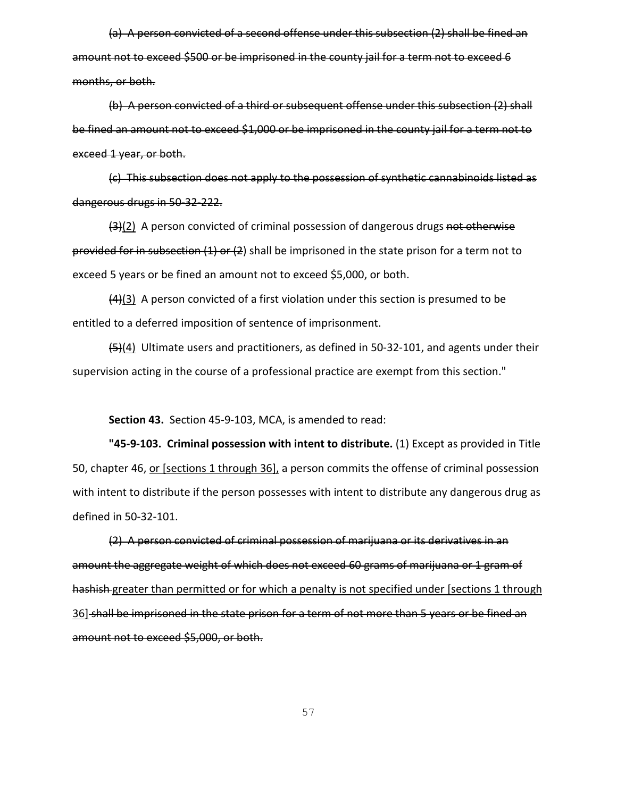(a) A person convicted of a second offense under this subsection (2) shall be fined an amount not to exceed \$500 or be imprisoned in the county jail for a term not to exceed 6 months, or both.

(b) A person convicted of a third or subsequent offense under this subsection (2) shall be fined an amount not to exceed \$1,000 or be imprisoned in the county jail for a term not to exceed 1 year, or both.

(c) This subsection does not apply to the possession of synthetic cannabinoids listed as dangerous drugs in 50-32-222.

(3)(2) A person convicted of criminal possession of dangerous drugs not otherwise provided for in subsection  $(1)$  or  $(2)$  shall be imprisoned in the state prison for a term not to exceed 5 years or be fined an amount not to exceed \$5,000, or both.

 $\frac{(4)(3)}{(4)(3)}$  A person convicted of a first violation under this section is presumed to be entitled to a deferred imposition of sentence of imprisonment.

 $\left(\frac{5}{4}\right)$  Ultimate users and practitioners, as defined in 50-32-101, and agents under their supervision acting in the course of a professional practice are exempt from this section."

**Section 43.** Section 45-9-103, MCA, is amended to read:

**"45-9-103. Criminal possession with intent to distribute.** (1) Except as provided in Title 50, chapter 46, <u>or [sections 1 through 36]</u>, a person commits the offense of criminal possession with intent to distribute if the person possesses with intent to distribute any dangerous drug as defined in 50-32-101.

(2) A person convicted of criminal possession of marijuana or its derivatives in an amount the aggregate weight of which does not exceed 60 grams of marijuana or 1 gram of hashish-greater than permitted or for which a penalty is not specified under [sections 1 through 36] shall be imprisoned in the state prison for a term of not more than 5 years or be fined an amount not to exceed \$5,000, or both.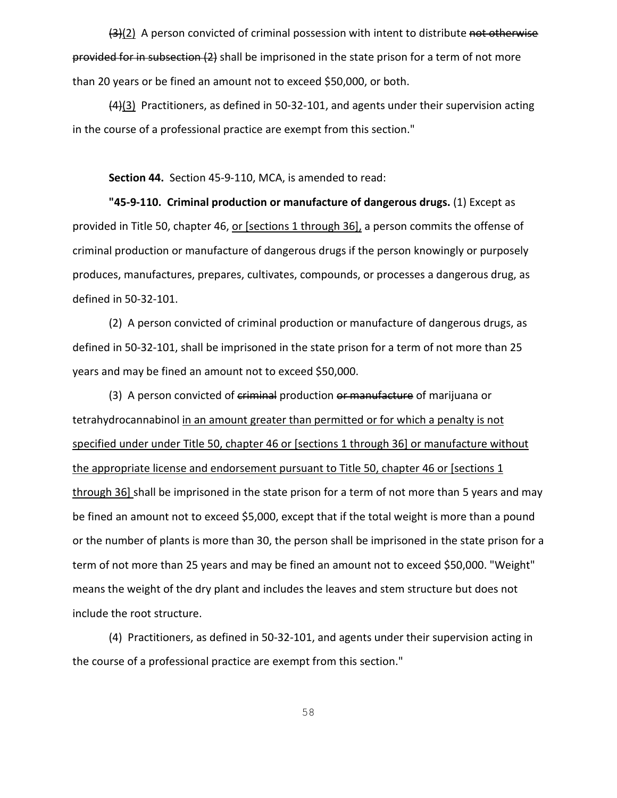$\frac{12}{22}$  A person convicted of criminal possession with intent to distribute not otherwise provided for in subsection (2) shall be imprisoned in the state prison for a term of not more than 20 years or be fined an amount not to exceed \$50,000, or both.

 $\frac{44}{3}$  Practitioners, as defined in 50-32-101, and agents under their supervision acting in the course of a professional practice are exempt from this section."

**Section 44.** Section 45-9-110, MCA, is amended to read:

**"45-9-110. Criminal production or manufacture of dangerous drugs.** (1) Except as provided in Title 50, chapter 46, or [sections 1 through 36], a person commits the offense of criminal production or manufacture of dangerous drugs if the person knowingly or purposely produces, manufactures, prepares, cultivates, compounds, or processes a dangerous drug, as defined in 50-32-101.

(2) A person convicted of criminal production or manufacture of dangerous drugs, as defined in 50-32-101, shall be imprisoned in the state prison for a term of not more than 25 years and may be fined an amount not to exceed \$50,000.

(3) A person convicted of criminal production or manufacture of marijuana or tetrahydrocannabinol in an amount greater than permitted or for which a penalty is not specified under under Title 50, chapter 46 or [sections 1 through 36] or manufacture without the appropriate license and endorsement pursuant to Title 50, chapter 46 or [sections 1 through 36] shall be imprisoned in the state prison for a term of not more than 5 years and may be fined an amount not to exceed \$5,000, except that if the total weight is more than a pound or the number of plants is more than 30, the person shall be imprisoned in the state prison for a term of not more than 25 years and may be fined an amount not to exceed \$50,000. "Weight" means the weight of the dry plant and includes the leaves and stem structure but does not include the root structure.

(4) Practitioners, as defined in 50-32-101, and agents under their supervision acting in the course of a professional practice are exempt from this section."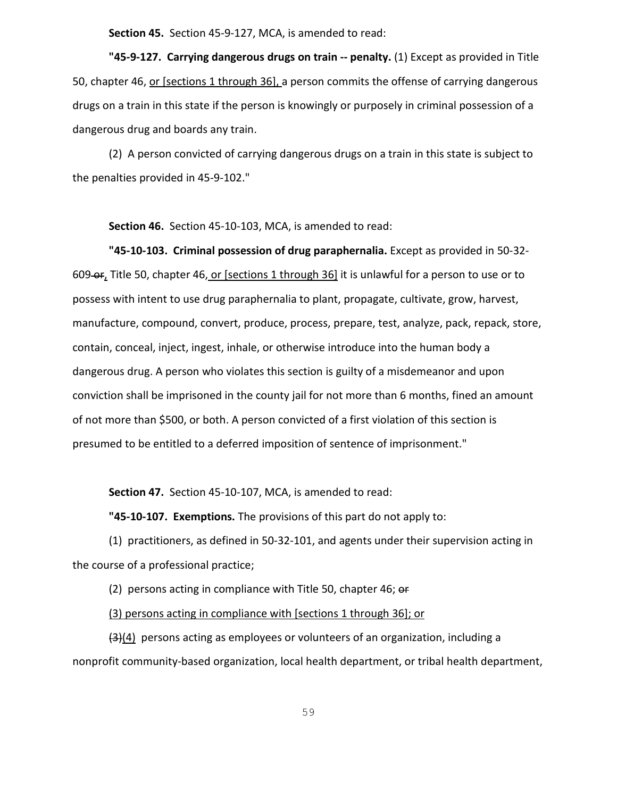**Section 45.** Section 45-9-127, MCA, is amended to read:

**"45-9-127. Carrying dangerous drugs on train -- penalty.** (1) Except as provided in Title 50, chapter 46, <u>or [sections 1 through 36]</u>, a person commits the offense of carrying dangerous drugs on a train in this state if the person is knowingly or purposely in criminal possession of a dangerous drug and boards any train.

(2) A person convicted of carrying dangerous drugs on a train in this state is subject to the penalties provided in 45-9-102."

**Section 46.** Section 45-10-103, MCA, is amended to read:

**"45-10-103. Criminal possession of drug paraphernalia.** Except as provided in 50-32- 609 or, Title 50, chapter 46, or [sections 1 through 36] it is unlawful for a person to use or to possess with intent to use drug paraphernalia to plant, propagate, cultivate, grow, harvest, manufacture, compound, convert, produce, process, prepare, test, analyze, pack, repack, store, contain, conceal, inject, ingest, inhale, or otherwise introduce into the human body a dangerous drug. A person who violates this section is guilty of a misdemeanor and upon conviction shall be imprisoned in the county jail for not more than 6 months, fined an amount of not more than \$500, or both. A person convicted of a first violation of this section is presumed to be entitled to a deferred imposition of sentence of imprisonment."

**Section 47.** Section 45-10-107, MCA, is amended to read:

**"45-10-107. Exemptions.** The provisions of this part do not apply to:

(1) practitioners, as defined in 50-32-101, and agents under their supervision acting in the course of a professional practice;

(2) persons acting in compliance with Title 50, chapter 46;  $er$ 

(3) persons acting in compliance with [sections 1 through 36]; or

 $\left(\frac{3}{4}\right)$  persons acting as employees or volunteers of an organization, including a nonprofit community-based organization, local health department, or tribal health department,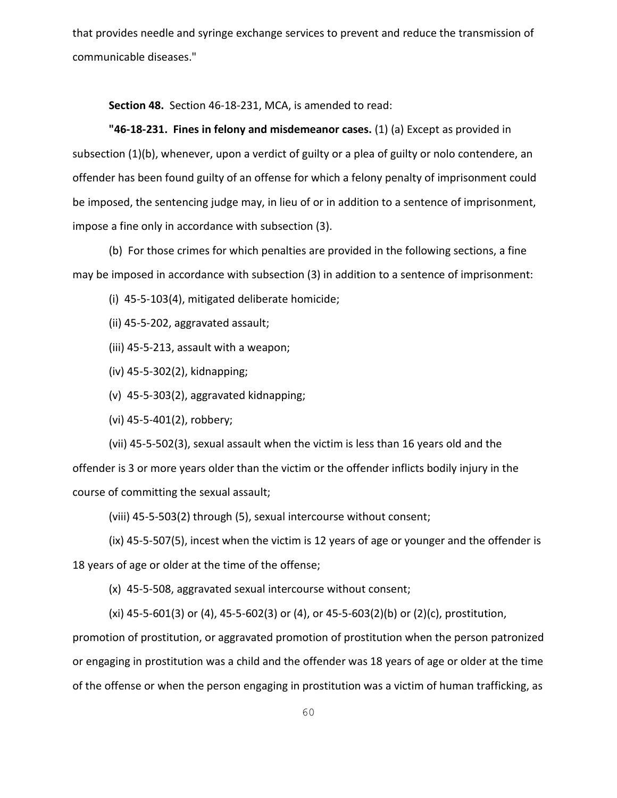that provides needle and syringe exchange services to prevent and reduce the transmission of communicable diseases."

**Section 48.** Section 46-18-231, MCA, is amended to read:

**"46-18-231. Fines in felony and misdemeanor cases.** (1) (a) Except as provided in subsection (1)(b), whenever, upon a verdict of guilty or a plea of guilty or nolo contendere, an offender has been found guilty of an offense for which a felony penalty of imprisonment could be imposed, the sentencing judge may, in lieu of or in addition to a sentence of imprisonment, impose a fine only in accordance with subsection (3).

(b) For those crimes for which penalties are provided in the following sections, a fine may be imposed in accordance with subsection (3) in addition to a sentence of imprisonment:

(i) 45-5-103(4), mitigated deliberate homicide;

(ii) 45-5-202, aggravated assault;

(iii) 45-5-213, assault with a weapon;

(iv) 45-5-302(2), kidnapping;

(v) 45-5-303(2), aggravated kidnapping;

(vi) 45-5-401(2), robbery;

(vii) 45-5-502(3), sexual assault when the victim is less than 16 years old and the offender is 3 or more years older than the victim or the offender inflicts bodily injury in the course of committing the sexual assault;

(viii) 45-5-503(2) through (5), sexual intercourse without consent;

(ix) 45-5-507(5), incest when the victim is 12 years of age or younger and the offender is 18 years of age or older at the time of the offense;

(x) 45-5-508, aggravated sexual intercourse without consent;

(xi) 45-5-601(3) or (4), 45-5-602(3) or (4), or 45-5-603(2)(b) or (2)(c), prostitution,

promotion of prostitution, or aggravated promotion of prostitution when the person patronized or engaging in prostitution was a child and the offender was 18 years of age or older at the time of the offense or when the person engaging in prostitution was a victim of human trafficking, as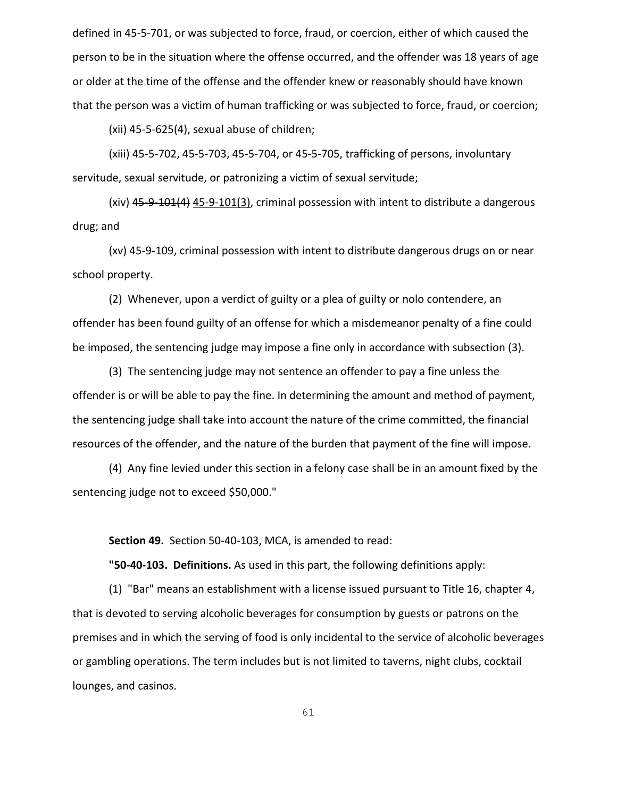defined in 45-5-701, or was subjected to force, fraud, or coercion, either of which caused the person to be in the situation where the offense occurred, and the offender was 18 years of age or older at the time of the offense and the offender knew or reasonably should have known that the person was a victim of human trafficking or was subjected to force, fraud, or coercion;

(xii) 45-5-625(4), sexual abuse of children;

(xiii) 45-5-702, 45-5-703, 45-5-704, or 45-5-705, trafficking of persons, involuntary servitude, sexual servitude, or patronizing a victim of sexual servitude;

(xiv) 45-9-101(4) 45-9-101(3), criminal possession with intent to distribute a dangerous drug; and

(xv) 45-9-109, criminal possession with intent to distribute dangerous drugs on or near school property.

(2) Whenever, upon a verdict of guilty or a plea of guilty or nolo contendere, an offender has been found guilty of an offense for which a misdemeanor penalty of a fine could be imposed, the sentencing judge may impose a fine only in accordance with subsection (3).

(3) The sentencing judge may not sentence an offender to pay a fine unless the offender is or will be able to pay the fine. In determining the amount and method of payment, the sentencing judge shall take into account the nature of the crime committed, the financial resources of the offender, and the nature of the burden that payment of the fine will impose.

(4) Any fine levied under this section in a felony case shall be in an amount fixed by the sentencing judge not to exceed \$50,000."

**Section 49.** Section 50-40-103, MCA, is amended to read:

**"50-40-103. Definitions.** As used in this part, the following definitions apply:

(1) "Bar" means an establishment with a license issued pursuant to Title 16, chapter 4, that is devoted to serving alcoholic beverages for consumption by guests or patrons on the premises and in which the serving of food is only incidental to the service of alcoholic beverages or gambling operations. The term includes but is not limited to taverns, night clubs, cocktail lounges, and casinos.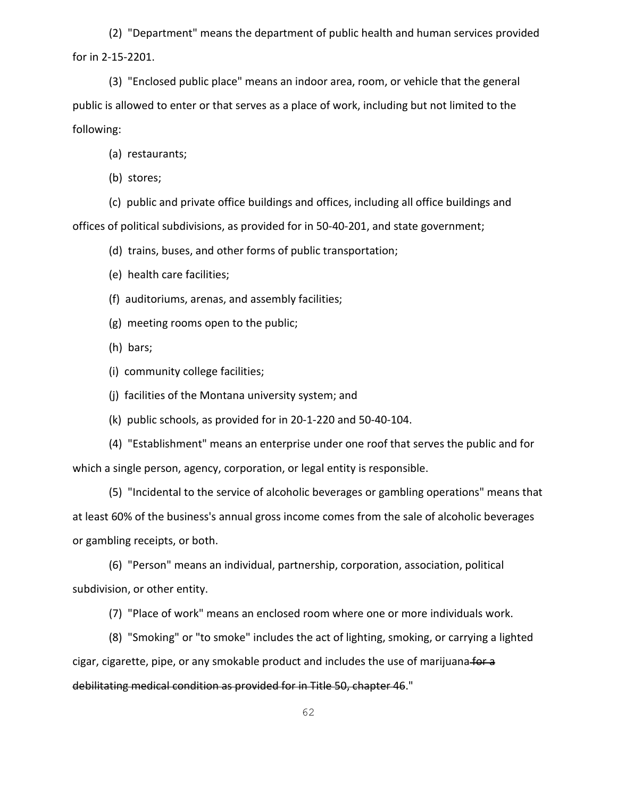(2) "Department" means the department of public health and human services provided for in 2-15-2201.

(3) "Enclosed public place" means an indoor area, room, or vehicle that the general public is allowed to enter or that serves as a place of work, including but not limited to the following:

(a) restaurants;

(b) stores;

(c) public and private office buildings and offices, including all office buildings and offices of political subdivisions, as provided for in 50-40-201, and state government;

(d) trains, buses, and other forms of public transportation;

(e) health care facilities;

(f) auditoriums, arenas, and assembly facilities;

(g) meeting rooms open to the public;

(h) bars;

(i) community college facilities;

(j) facilities of the Montana university system; and

(k) public schools, as provided for in 20-1-220 and 50-40-104.

(4) "Establishment" means an enterprise under one roof that serves the public and for which a single person, agency, corporation, or legal entity is responsible.

(5) "Incidental to the service of alcoholic beverages or gambling operations" means that at least 60% of the business's annual gross income comes from the sale of alcoholic beverages or gambling receipts, or both.

(6) "Person" means an individual, partnership, corporation, association, political subdivision, or other entity.

(7) "Place of work" means an enclosed room where one or more individuals work.

(8) "Smoking" or "to smoke" includes the act of lighting, smoking, or carrying a lighted cigar, cigarette, pipe, or any smokable product and includes the use of marijuana-fordebilitating medical condition as provided for in Title 50, chapter 46."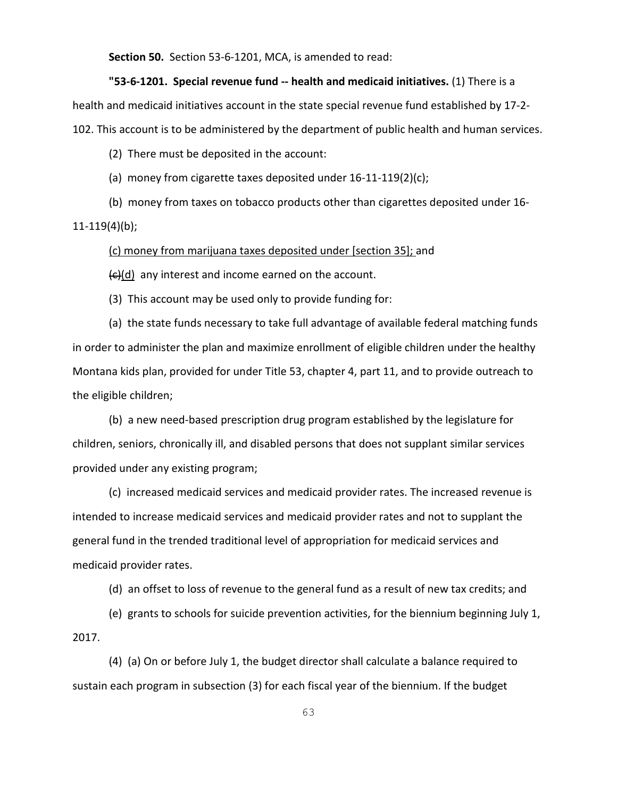**Section 50.** Section 53-6-1201, MCA, is amended to read:

**"53-6-1201. Special revenue fund -- health and medicaid initiatives.** (1) There is a health and medicaid initiatives account in the state special revenue fund established by 17-2- 102. This account is to be administered by the department of public health and human services.

(2) There must be deposited in the account:

(a) money from cigarette taxes deposited under 16-11-119(2)(c);

(b) money from taxes on tobacco products other than cigarettes deposited under 16- 11-119(4)(b);

(c) money from marijuana taxes deposited under [section 35]; and

 $\left(\frac{c}{c}\right)$  any interest and income earned on the account.

(3) This account may be used only to provide funding for:

(a) the state funds necessary to take full advantage of available federal matching funds in order to administer the plan and maximize enrollment of eligible children under the healthy Montana kids plan, provided for under Title 53, chapter 4, part 11, and to provide outreach to the eligible children;

(b) a new need-based prescription drug program established by the legislature for children, seniors, chronically ill, and disabled persons that does not supplant similar services provided under any existing program;

(c) increased medicaid services and medicaid provider rates. The increased revenue is intended to increase medicaid services and medicaid provider rates and not to supplant the general fund in the trended traditional level of appropriation for medicaid services and medicaid provider rates.

(d) an offset to loss of revenue to the general fund as a result of new tax credits; and

(e) grants to schools for suicide prevention activities, for the biennium beginning July 1, 2017.

(4) (a) On or before July 1, the budget director shall calculate a balance required to sustain each program in subsection (3) for each fiscal year of the biennium. If the budget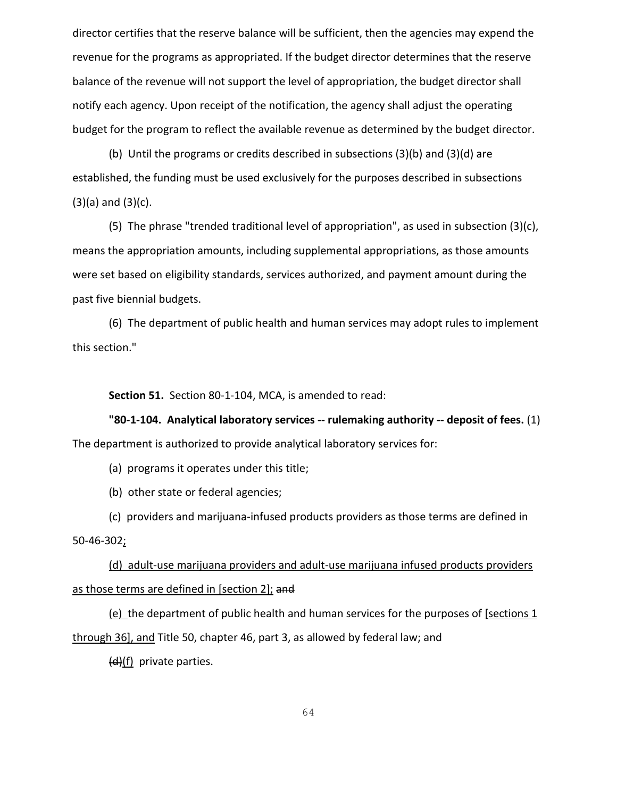director certifies that the reserve balance will be sufficient, then the agencies may expend the revenue for the programs as appropriated. If the budget director determines that the reserve balance of the revenue will not support the level of appropriation, the budget director shall notify each agency. Upon receipt of the notification, the agency shall adjust the operating budget for the program to reflect the available revenue as determined by the budget director.

(b) Until the programs or credits described in subsections (3)(b) and (3)(d) are established, the funding must be used exclusively for the purposes described in subsections  $(3)(a)$  and  $(3)(c)$ .

(5) The phrase "trended traditional level of appropriation", as used in subsection (3)(c), means the appropriation amounts, including supplemental appropriations, as those amounts were set based on eligibility standards, services authorized, and payment amount during the past five biennial budgets.

(6) The department of public health and human services may adopt rules to implement this section."

**Section 51.** Section 80-1-104, MCA, is amended to read:

**"80-1-104. Analytical laboratory services -- rulemaking authority -- deposit of fees.** (1)

The department is authorized to provide analytical laboratory services for:

(a) programs it operates under this title;

(b) other state or federal agencies;

(c) providers and marijuana-infused products providers as those terms are defined in 50-46-302;

(d) adult-use marijuana providers and adult-use marijuana infused products providers as those terms are defined in [section 2]; and

 $(e)$  the department of public health and human services for the purposes of [sections 1] through 36], and Title 50, chapter 46, part 3, as allowed by federal law; and

 $(d)(f)$  private parties.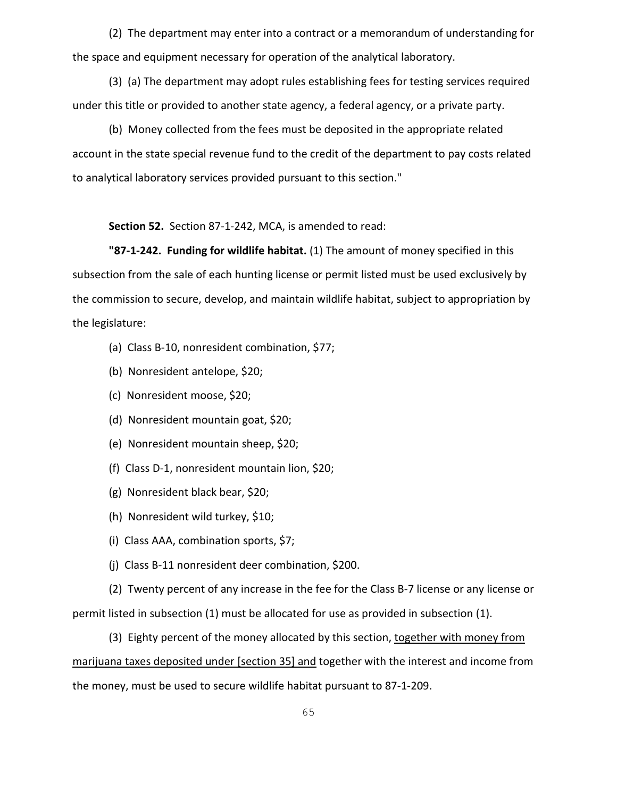(2) The department may enter into a contract or a memorandum of understanding for the space and equipment necessary for operation of the analytical laboratory.

(3) (a) The department may adopt rules establishing fees for testing services required under this title or provided to another state agency, a federal agency, or a private party.

(b) Money collected from the fees must be deposited in the appropriate related account in the state special revenue fund to the credit of the department to pay costs related to analytical laboratory services provided pursuant to this section."

**Section 52.** Section 87-1-242, MCA, is amended to read:

**"87-1-242. Funding for wildlife habitat.** (1) The amount of money specified in this subsection from the sale of each hunting license or permit listed must be used exclusively by the commission to secure, develop, and maintain wildlife habitat, subject to appropriation by the legislature:

- (a) Class B-10, nonresident combination, \$77;
- (b) Nonresident antelope, \$20;
- (c) Nonresident moose, \$20;
- (d) Nonresident mountain goat, \$20;
- (e) Nonresident mountain sheep, \$20;
- (f) Class D-1, nonresident mountain lion, \$20;
- (g) Nonresident black bear, \$20;
- (h) Nonresident wild turkey, \$10;
- (i) Class AAA, combination sports, \$7;
- (j) Class B-11 nonresident deer combination, \$200.

(2) Twenty percent of any increase in the fee for the Class B-7 license or any license or permit listed in subsection (1) must be allocated for use as provided in subsection (1).

(3) Eighty percent of the money allocated by this section, together with money from marijuana taxes deposited under [section 35] and together with the interest and income from the money, must be used to secure wildlife habitat pursuant to 87-1-209.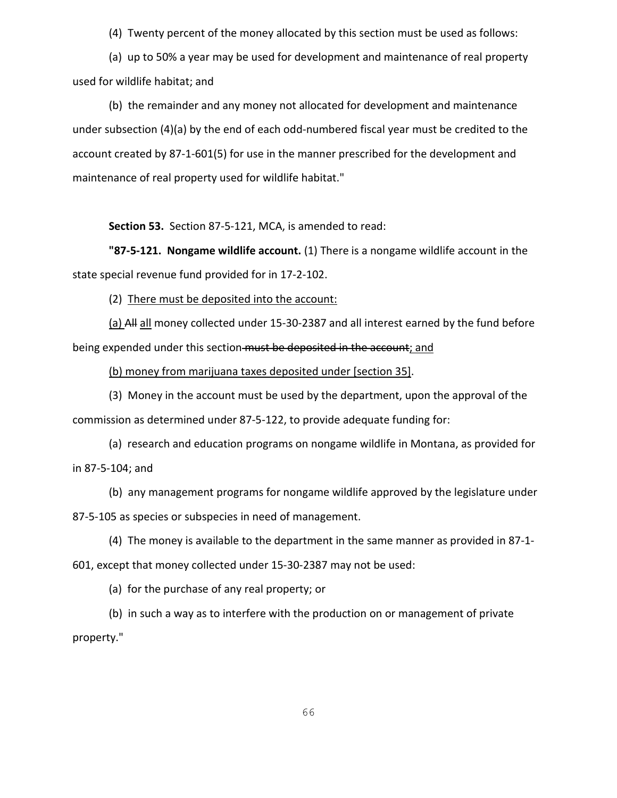(4) Twenty percent of the money allocated by this section must be used as follows:

(a) up to 50% a year may be used for development and maintenance of real property used for wildlife habitat; and

(b) the remainder and any money not allocated for development and maintenance under subsection (4)(a) by the end of each odd-numbered fiscal year must be credited to the account created by 87-1-601(5) for use in the manner prescribed for the development and maintenance of real property used for wildlife habitat."

**Section 53.** Section 87-5-121, MCA, is amended to read:

**"87-5-121. Nongame wildlife account.** (1) There is a nongame wildlife account in the state special revenue fund provided for in 17-2-102.

(2) There must be deposited into the account:

(a) All all money collected under 15-30-2387 and all interest earned by the fund before being expended under this section must be deposited in the account; and

(b) money from marijuana taxes deposited under [section 35].

(3) Money in the account must be used by the department, upon the approval of the commission as determined under 87-5-122, to provide adequate funding for:

(a) research and education programs on nongame wildlife in Montana, as provided for in 87-5-104; and

(b) any management programs for nongame wildlife approved by the legislature under 87-5-105 as species or subspecies in need of management.

(4) The money is available to the department in the same manner as provided in 87-1- 601, except that money collected under 15-30-2387 may not be used:

(a) for the purchase of any real property; or

(b) in such a way as to interfere with the production on or management of private property."